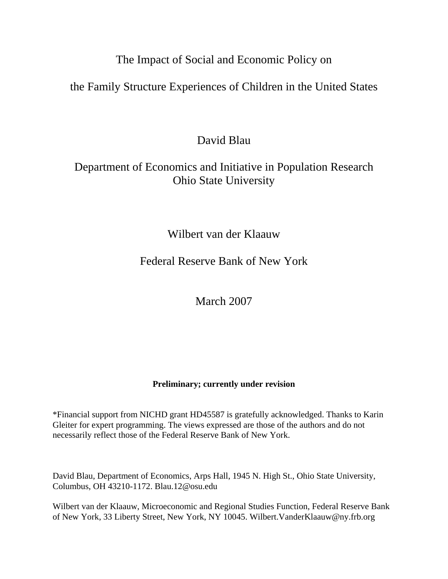# The Impact of Social and Economic Policy on

## the Family Structure Experiences of Children in the United States

# David Blau

# Department of Economics and Initiative in Population Research Ohio State University

## Wilbert van der Klaauw

## Federal Reserve Bank of New York

## March 2007

## **Preliminary; currently under revision**

\*Financial support from NICHD grant HD45587 is gratefully acknowledged. Thanks to Karin Gleiter for expert programming. The views expressed are those of the authors and do not necessarily reflect those of the Federal Reserve Bank of New York.

David Blau, Department of Economics, Arps Hall, 1945 N. High St., Ohio State University, Columbus, OH 43210-1172. Blau.12@osu.edu

Wilbert van der Klaauw, Microeconomic and Regional Studies Function, Federal Reserve Bank of New York, 33 Liberty Street, New York, NY 10045. Wilbert.VanderKlaauw@ny.frb.org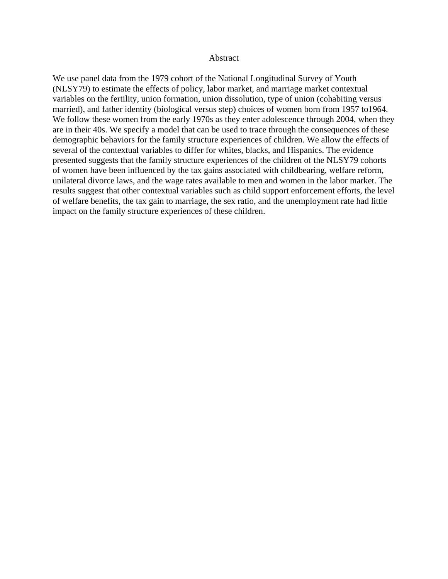#### Abstract

We use panel data from the 1979 cohort of the National Longitudinal Survey of Youth (NLSY79) to estimate the effects of policy, labor market, and marriage market contextual variables on the fertility, union formation, union dissolution, type of union (cohabiting versus married), and father identity (biological versus step) choices of women born from 1957 to1964. We follow these women from the early 1970s as they enter adolescence through 2004, when they are in their 40s. We specify a model that can be used to trace through the consequences of these demographic behaviors for the family structure experiences of children. We allow the effects of several of the contextual variables to differ for whites, blacks, and Hispanics. The evidence presented suggests that the family structure experiences of the children of the NLSY79 cohorts of women have been influenced by the tax gains associated with childbearing, welfare reform, unilateral divorce laws, and the wage rates available to men and women in the labor market. The results suggest that other contextual variables such as child support enforcement efforts, the level of welfare benefits, the tax gain to marriage, the sex ratio, and the unemployment rate had little impact on the family structure experiences of these children.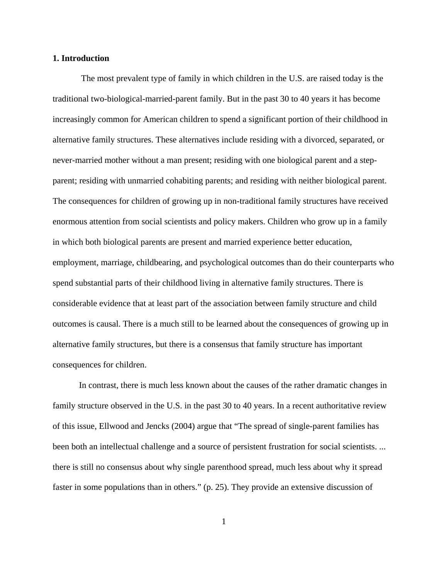### **1. Introduction**

 The most prevalent type of family in which children in the U.S. are raised today is the traditional two-biological-married-parent family. But in the past 30 to 40 years it has become increasingly common for American children to spend a significant portion of their childhood in alternative family structures. These alternatives include residing with a divorced, separated, or never-married mother without a man present; residing with one biological parent and a stepparent; residing with unmarried cohabiting parents; and residing with neither biological parent. The consequences for children of growing up in non-traditional family structures have received enormous attention from social scientists and policy makers. Children who grow up in a family in which both biological parents are present and married experience better education, employment, marriage, childbearing, and psychological outcomes than do their counterparts who spend substantial parts of their childhood living in alternative family structures. There is considerable evidence that at least part of the association between family structure and child outcomes is causal. There is a much still to be learned about the consequences of growing up in alternative family structures, but there is a consensus that family structure has important consequences for children.

In contrast, there is much less known about the causes of the rather dramatic changes in family structure observed in the U.S. in the past 30 to 40 years. In a recent authoritative review of this issue, Ellwood and Jencks (2004) argue that "The spread of single-parent families has been both an intellectual challenge and a source of persistent frustration for social scientists. ... there is still no consensus about why single parenthood spread, much less about why it spread faster in some populations than in others." (p. 25). They provide an extensive discussion of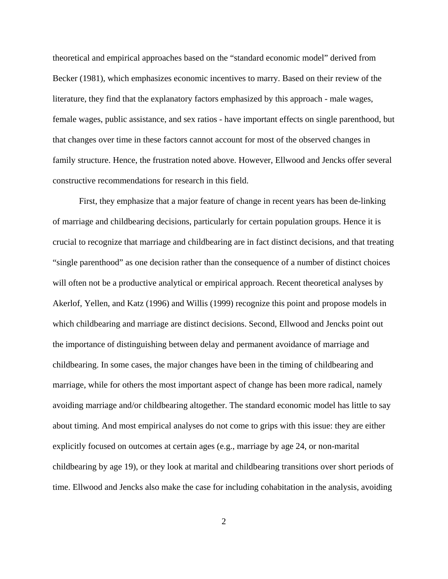theoretical and empirical approaches based on the "standard economic model" derived from Becker (1981), which emphasizes economic incentives to marry. Based on their review of the literature, they find that the explanatory factors emphasized by this approach - male wages, female wages, public assistance, and sex ratios - have important effects on single parenthood, but that changes over time in these factors cannot account for most of the observed changes in family structure. Hence, the frustration noted above. However, Ellwood and Jencks offer several constructive recommendations for research in this field.

First, they emphasize that a major feature of change in recent years has been de-linking of marriage and childbearing decisions, particularly for certain population groups. Hence it is crucial to recognize that marriage and childbearing are in fact distinct decisions, and that treating "single parenthood" as one decision rather than the consequence of a number of distinct choices will often not be a productive analytical or empirical approach. Recent theoretical analyses by Akerlof, Yellen, and Katz (1996) and Willis (1999) recognize this point and propose models in which childbearing and marriage are distinct decisions. Second, Ellwood and Jencks point out the importance of distinguishing between delay and permanent avoidance of marriage and childbearing. In some cases, the major changes have been in the timing of childbearing and marriage, while for others the most important aspect of change has been more radical, namely avoiding marriage and/or childbearing altogether. The standard economic model has little to say about timing. And most empirical analyses do not come to grips with this issue: they are either explicitly focused on outcomes at certain ages (e.g., marriage by age 24, or non-marital childbearing by age 19), or they look at marital and childbearing transitions over short periods of time. Ellwood and Jencks also make the case for including cohabitation in the analysis, avoiding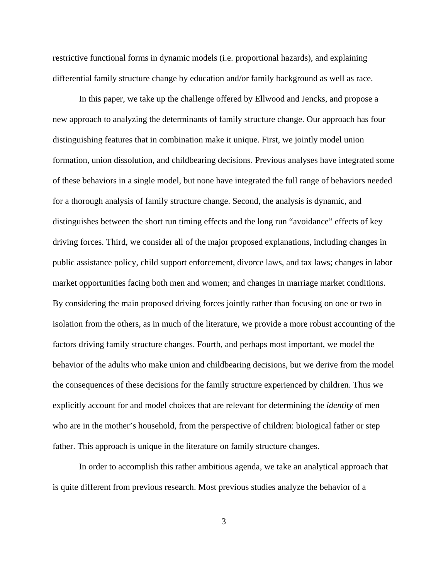restrictive functional forms in dynamic models (i.e. proportional hazards), and explaining differential family structure change by education and/or family background as well as race.

In this paper, we take up the challenge offered by Ellwood and Jencks, and propose a new approach to analyzing the determinants of family structure change. Our approach has four distinguishing features that in combination make it unique. First, we jointly model union formation, union dissolution, and childbearing decisions. Previous analyses have integrated some of these behaviors in a single model, but none have integrated the full range of behaviors needed for a thorough analysis of family structure change. Second, the analysis is dynamic, and distinguishes between the short run timing effects and the long run "avoidance" effects of key driving forces. Third, we consider all of the major proposed explanations, including changes in public assistance policy, child support enforcement, divorce laws, and tax laws; changes in labor market opportunities facing both men and women; and changes in marriage market conditions. By considering the main proposed driving forces jointly rather than focusing on one or two in isolation from the others, as in much of the literature, we provide a more robust accounting of the factors driving family structure changes. Fourth, and perhaps most important, we model the behavior of the adults who make union and childbearing decisions, but we derive from the model the consequences of these decisions for the family structure experienced by children. Thus we explicitly account for and model choices that are relevant for determining the *identity* of men who are in the mother's household, from the perspective of children: biological father or step father. This approach is unique in the literature on family structure changes.

In order to accomplish this rather ambitious agenda, we take an analytical approach that is quite different from previous research. Most previous studies analyze the behavior of a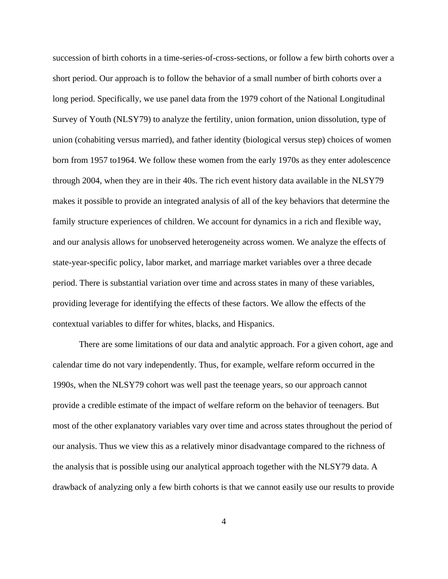succession of birth cohorts in a time-series-of-cross-sections, or follow a few birth cohorts over a short period. Our approach is to follow the behavior of a small number of birth cohorts over a long period. Specifically, we use panel data from the 1979 cohort of the National Longitudinal Survey of Youth (NLSY79) to analyze the fertility, union formation, union dissolution, type of union (cohabiting versus married), and father identity (biological versus step) choices of women born from 1957 to1964. We follow these women from the early 1970s as they enter adolescence through 2004, when they are in their 40s. The rich event history data available in the NLSY79 makes it possible to provide an integrated analysis of all of the key behaviors that determine the family structure experiences of children. We account for dynamics in a rich and flexible way, and our analysis allows for unobserved heterogeneity across women. We analyze the effects of state-year-specific policy, labor market, and marriage market variables over a three decade period. There is substantial variation over time and across states in many of these variables, providing leverage for identifying the effects of these factors. We allow the effects of the contextual variables to differ for whites, blacks, and Hispanics.

There are some limitations of our data and analytic approach. For a given cohort, age and calendar time do not vary independently. Thus, for example, welfare reform occurred in the 1990s, when the NLSY79 cohort was well past the teenage years, so our approach cannot provide a credible estimate of the impact of welfare reform on the behavior of teenagers. But most of the other explanatory variables vary over time and across states throughout the period of our analysis. Thus we view this as a relatively minor disadvantage compared to the richness of the analysis that is possible using our analytical approach together with the NLSY79 data. A drawback of analyzing only a few birth cohorts is that we cannot easily use our results to provide

4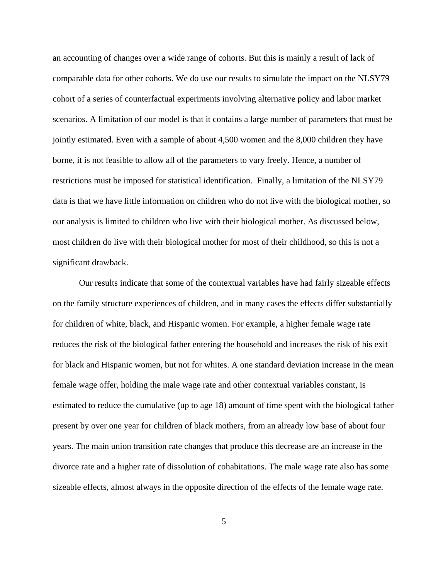an accounting of changes over a wide range of cohorts. But this is mainly a result of lack of comparable data for other cohorts. We do use our results to simulate the impact on the NLSY79 cohort of a series of counterfactual experiments involving alternative policy and labor market scenarios. A limitation of our model is that it contains a large number of parameters that must be jointly estimated. Even with a sample of about 4,500 women and the 8,000 children they have borne, it is not feasible to allow all of the parameters to vary freely. Hence, a number of restrictions must be imposed for statistical identification. Finally, a limitation of the NLSY79 data is that we have little information on children who do not live with the biological mother, so our analysis is limited to children who live with their biological mother. As discussed below, most children do live with their biological mother for most of their childhood, so this is not a significant drawback.

Our results indicate that some of the contextual variables have had fairly sizeable effects on the family structure experiences of children, and in many cases the effects differ substantially for children of white, black, and Hispanic women. For example, a higher female wage rate reduces the risk of the biological father entering the household and increases the risk of his exit for black and Hispanic women, but not for whites. A one standard deviation increase in the mean female wage offer, holding the male wage rate and other contextual variables constant, is estimated to reduce the cumulative (up to age 18) amount of time spent with the biological father present by over one year for children of black mothers, from an already low base of about four years. The main union transition rate changes that produce this decrease are an increase in the divorce rate and a higher rate of dissolution of cohabitations. The male wage rate also has some sizeable effects, almost always in the opposite direction of the effects of the female wage rate.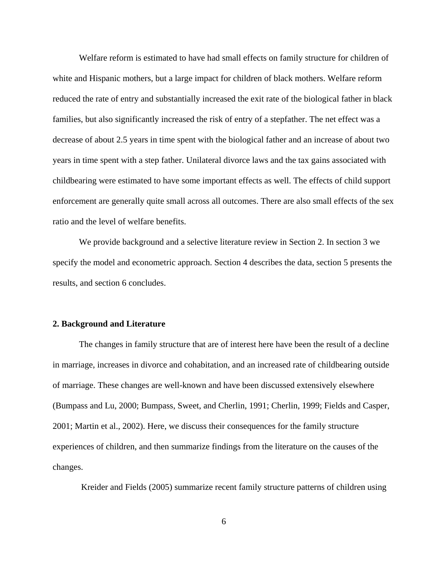Welfare reform is estimated to have had small effects on family structure for children of white and Hispanic mothers, but a large impact for children of black mothers. Welfare reform reduced the rate of entry and substantially increased the exit rate of the biological father in black families, but also significantly increased the risk of entry of a stepfather. The net effect was a decrease of about 2.5 years in time spent with the biological father and an increase of about two years in time spent with a step father. Unilateral divorce laws and the tax gains associated with childbearing were estimated to have some important effects as well. The effects of child support enforcement are generally quite small across all outcomes. There are also small effects of the sex ratio and the level of welfare benefits.

We provide background and a selective literature review in Section 2. In section 3 we specify the model and econometric approach. Section 4 describes the data, section 5 presents the results, and section 6 concludes.

#### **2. Background and Literature**

The changes in family structure that are of interest here have been the result of a decline in marriage, increases in divorce and cohabitation, and an increased rate of childbearing outside of marriage. These changes are well-known and have been discussed extensively elsewhere (Bumpass and Lu, 2000; Bumpass, Sweet, and Cherlin, 1991; Cherlin, 1999; Fields and Casper, 2001; Martin et al., 2002). Here, we discuss their consequences for the family structure experiences of children, and then summarize findings from the literature on the causes of the changes.

Kreider and Fields (2005) summarize recent family structure patterns of children using

6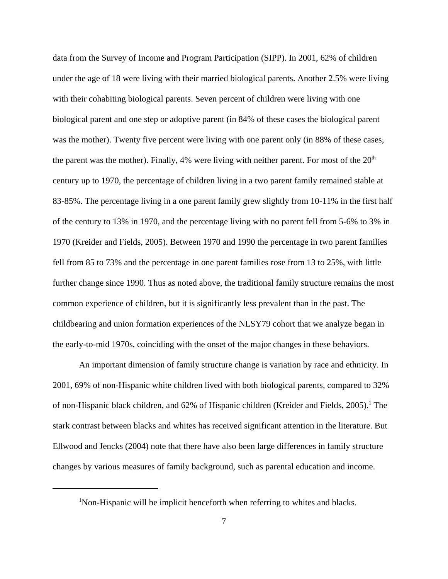data from the Survey of Income and Program Participation (SIPP). In 2001, 62% of children under the age of 18 were living with their married biological parents. Another 2.5% were living with their cohabiting biological parents. Seven percent of children were living with one biological parent and one step or adoptive parent (in 84% of these cases the biological parent was the mother). Twenty five percent were living with one parent only (in 88% of these cases, the parent was the mother). Finally, 4% were living with neither parent. For most of the  $20<sup>th</sup>$ century up to 1970, the percentage of children living in a two parent family remained stable at 83-85%. The percentage living in a one parent family grew slightly from 10-11% in the first half of the century to 13% in 1970, and the percentage living with no parent fell from 5-6% to 3% in 1970 (Kreider and Fields, 2005). Between 1970 and 1990 the percentage in two parent families fell from 85 to 73% and the percentage in one parent families rose from 13 to 25%, with little further change since 1990. Thus as noted above, the traditional family structure remains the most common experience of children, but it is significantly less prevalent than in the past. The childbearing and union formation experiences of the NLSY79 cohort that we analyze began in the early-to-mid 1970s, coinciding with the onset of the major changes in these behaviors.

An important dimension of family structure change is variation by race and ethnicity. In 2001, 69% of non-Hispanic white children lived with both biological parents, compared to 32% of non-Hispanic black children, and 62% of Hispanic children (Kreider and Fields, 2005).<sup>1</sup> The stark contrast between blacks and whites has received significant attention in the literature. But Ellwood and Jencks (2004) note that there have also been large differences in family structure changes by various measures of family background, such as parental education and income.

<sup>&</sup>lt;sup>1</sup>Non-Hispanic will be implicit henceforth when referring to whites and blacks.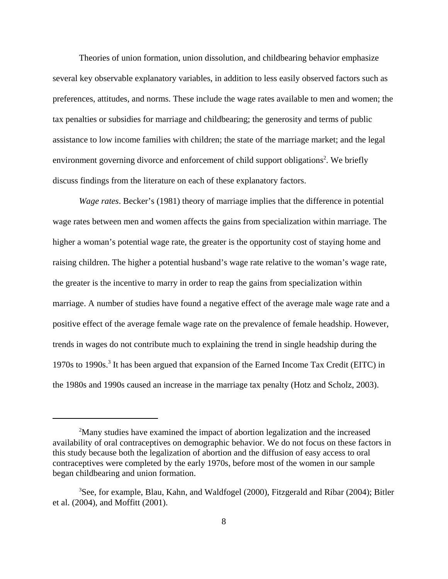Theories of union formation, union dissolution, and childbearing behavior emphasize several key observable explanatory variables, in addition to less easily observed factors such as preferences, attitudes, and norms. These include the wage rates available to men and women; the tax penalties or subsidies for marriage and childbearing; the generosity and terms of public assistance to low income families with children; the state of the marriage market; and the legal environment governing divorce and enforcement of child support obligations<sup>2</sup>. We briefly discuss findings from the literature on each of these explanatory factors.

*Wage rates*. Becker's (1981) theory of marriage implies that the difference in potential wage rates between men and women affects the gains from specialization within marriage. The higher a woman's potential wage rate, the greater is the opportunity cost of staying home and raising children. The higher a potential husband's wage rate relative to the woman's wage rate, the greater is the incentive to marry in order to reap the gains from specialization within marriage. A number of studies have found a negative effect of the average male wage rate and a positive effect of the average female wage rate on the prevalence of female headship. However, trends in wages do not contribute much to explaining the trend in single headship during the 1970s to 1990s.<sup>3</sup> It has been argued that expansion of the Earned Income Tax Credit (EITC) in the 1980s and 1990s caused an increase in the marriage tax penalty (Hotz and Scholz, 2003).

<sup>&</sup>lt;sup>2</sup>Many studies have examined the impact of abortion legalization and the increased availability of oral contraceptives on demographic behavior. We do not focus on these factors in this study because both the legalization of abortion and the diffusion of easy access to oral contraceptives were completed by the early 1970s, before most of the women in our sample began childbearing and union formation.

<sup>&</sup>lt;sup>3</sup>See, for example, Blau, Kahn, and Waldfogel (2000), Fitzgerald and Ribar (2004); Bitler et al. (2004), and Moffitt (2001).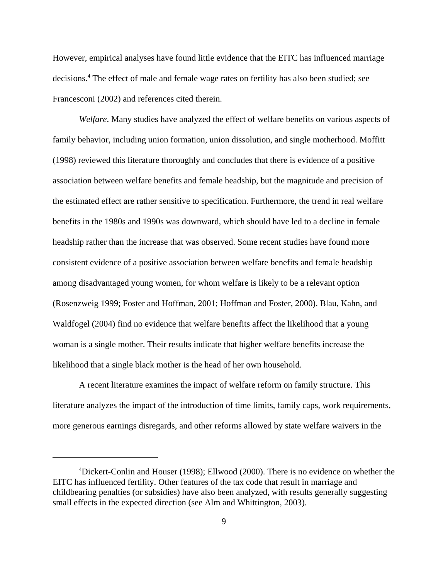However, empirical analyses have found little evidence that the EITC has influenced marriage decisions.<sup>4</sup> The effect of male and female wage rates on fertility has also been studied; see Francesconi (2002) and references cited therein.

*Welfare*. Many studies have analyzed the effect of welfare benefits on various aspects of family behavior, including union formation, union dissolution, and single motherhood. Moffitt (1998) reviewed this literature thoroughly and concludes that there is evidence of a positive association between welfare benefits and female headship, but the magnitude and precision of the estimated effect are rather sensitive to specification. Furthermore, the trend in real welfare benefits in the 1980s and 1990s was downward, which should have led to a decline in female headship rather than the increase that was observed. Some recent studies have found more consistent evidence of a positive association between welfare benefits and female headship among disadvantaged young women, for whom welfare is likely to be a relevant option (Rosenzweig 1999; Foster and Hoffman, 2001; Hoffman and Foster, 2000). Blau, Kahn, and Waldfogel (2004) find no evidence that welfare benefits affect the likelihood that a young woman is a single mother. Their results indicate that higher welfare benefits increase the likelihood that a single black mother is the head of her own household.

A recent literature examines the impact of welfare reform on family structure. This literature analyzes the impact of the introduction of time limits, family caps, work requirements, more generous earnings disregards, and other reforms allowed by state welfare waivers in the

<sup>&</sup>lt;sup>4</sup>Dickert-Conlin and Houser (1998); Ellwood (2000). There is no evidence on whether the EITC has influenced fertility. Other features of the tax code that result in marriage and childbearing penalties (or subsidies) have also been analyzed, with results generally suggesting small effects in the expected direction (see Alm and Whittington, 2003).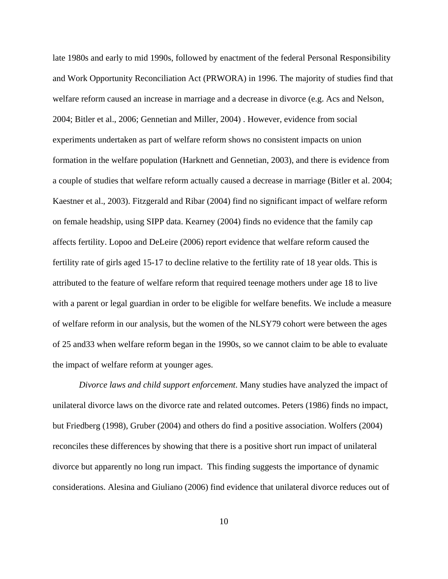late 1980s and early to mid 1990s, followed by enactment of the federal Personal Responsibility and Work Opportunity Reconciliation Act (PRWORA) in 1996. The majority of studies find that welfare reform caused an increase in marriage and a decrease in divorce (e.g. Acs and Nelson, 2004; Bitler et al., 2006; Gennetian and Miller, 2004) . However, evidence from social experiments undertaken as part of welfare reform shows no consistent impacts on union formation in the welfare population (Harknett and Gennetian, 2003), and there is evidence from a couple of studies that welfare reform actually caused a decrease in marriage (Bitler et al. 2004; Kaestner et al., 2003). Fitzgerald and Ribar (2004) find no significant impact of welfare reform on female headship, using SIPP data. Kearney (2004) finds no evidence that the family cap affects fertility. Lopoo and DeLeire (2006) report evidence that welfare reform caused the fertility rate of girls aged 15-17 to decline relative to the fertility rate of 18 year olds. This is attributed to the feature of welfare reform that required teenage mothers under age 18 to live with a parent or legal guardian in order to be eligible for welfare benefits. We include a measure of welfare reform in our analysis, but the women of the NLSY79 cohort were between the ages of 25 and33 when welfare reform began in the 1990s, so we cannot claim to be able to evaluate the impact of welfare reform at younger ages.

*Divorce laws and child support enforcement*. Many studies have analyzed the impact of unilateral divorce laws on the divorce rate and related outcomes. Peters (1986) finds no impact, but Friedberg (1998), Gruber (2004) and others do find a positive association. Wolfers (2004) reconciles these differences by showing that there is a positive short run impact of unilateral divorce but apparently no long run impact. This finding suggests the importance of dynamic considerations. Alesina and Giuliano (2006) find evidence that unilateral divorce reduces out of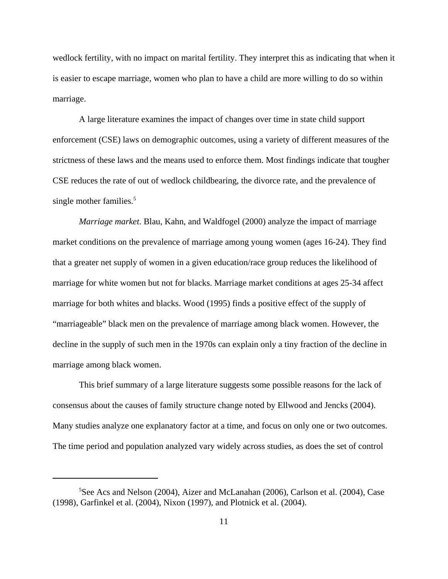wedlock fertility, with no impact on marital fertility. They interpret this as indicating that when it is easier to escape marriage, women who plan to have a child are more willing to do so within marriage.

A large literature examines the impact of changes over time in state child support enforcement (CSE) laws on demographic outcomes, using a variety of different measures of the strictness of these laws and the means used to enforce them. Most findings indicate that tougher CSE reduces the rate of out of wedlock childbearing, the divorce rate, and the prevalence of single mother families.<sup>5</sup>

*Marriage market*. Blau, Kahn, and Waldfogel (2000) analyze the impact of marriage market conditions on the prevalence of marriage among young women (ages 16-24). They find that a greater net supply of women in a given education/race group reduces the likelihood of marriage for white women but not for blacks. Marriage market conditions at ages 25-34 affect marriage for both whites and blacks. Wood (1995) finds a positive effect of the supply of "marriageable" black men on the prevalence of marriage among black women. However, the decline in the supply of such men in the 1970s can explain only a tiny fraction of the decline in marriage among black women.

This brief summary of a large literature suggests some possible reasons for the lack of consensus about the causes of family structure change noted by Ellwood and Jencks (2004). Many studies analyze one explanatory factor at a time, and focus on only one or two outcomes. The time period and population analyzed vary widely across studies, as does the set of control

<sup>5</sup> See Acs and Nelson (2004), Aizer and McLanahan (2006), Carlson et al. (2004), Case (1998), Garfinkel et al. (2004), Nixon (1997), and Plotnick et al. (2004).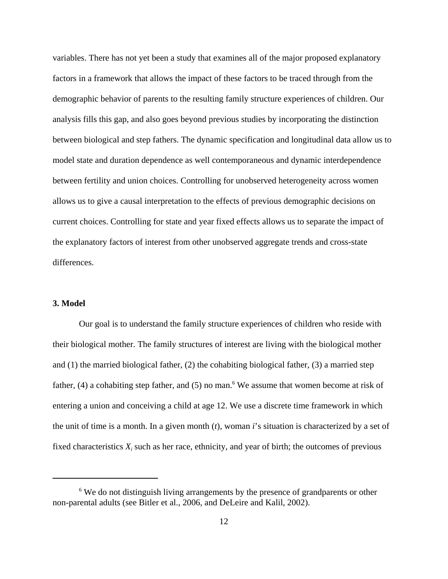variables. There has not yet been a study that examines all of the major proposed explanatory factors in a framework that allows the impact of these factors to be traced through from the demographic behavior of parents to the resulting family structure experiences of children. Our analysis fills this gap, and also goes beyond previous studies by incorporating the distinction between biological and step fathers. The dynamic specification and longitudinal data allow us to model state and duration dependence as well contemporaneous and dynamic interdependence between fertility and union choices. Controlling for unobserved heterogeneity across women allows us to give a causal interpretation to the effects of previous demographic decisions on current choices. Controlling for state and year fixed effects allows us to separate the impact of the explanatory factors of interest from other unobserved aggregate trends and cross-state differences.

### **3. Model**

Our goal is to understand the family structure experiences of children who reside with their biological mother. The family structures of interest are living with the biological mother and  $(1)$  the married biological father,  $(2)$  the cohabiting biological father,  $(3)$  a married step father, (4) a cohabiting step father, and (5) no man.<sup>6</sup> We assume that women become at risk of entering a union and conceiving a child at age 12. We use a discrete time framework in which the unit of time is a month. In a given month (*t*), woman *i*'s situation is characterized by a set of fixed characteristics  $X_i$  such as her race, ethnicity, and year of birth; the outcomes of previous

<sup>&</sup>lt;sup>6</sup> We do not distinguish living arrangements by the presence of grandparents or other non-parental adults (see Bitler et al., 2006, and DeLeire and Kalil, 2002).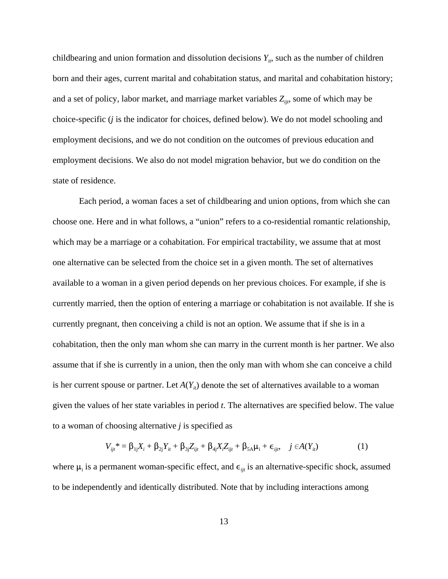childbearing and union formation and dissolution decisions  $Y_{it}$ , such as the number of children born and their ages, current marital and cohabitation status, and marital and cohabitation history; and a set of policy, labor market, and marriage market variables  $Z_{\text{int}}$ , some of which may be choice-specific (*j* is the indicator for choices, defined below). We do not model schooling and employment decisions, and we do not condition on the outcomes of previous education and employment decisions. We also do not model migration behavior, but we do condition on the state of residence.

Each period, a woman faces a set of childbearing and union options, from which she can choose one. Here and in what follows, a "union" refers to a co-residential romantic relationship, which may be a marriage or a cohabitation. For empirical tractability, we assume that at most one alternative can be selected from the choice set in a given month. The set of alternatives available to a woman in a given period depends on her previous choices. For example, if she is currently married, then the option of entering a marriage or cohabitation is not available. If she is currently pregnant, then conceiving a child is not an option. We assume that if she is in a cohabitation, then the only man whom she can marry in the current month is her partner. We also assume that if she is currently in a union, then the only man with whom she can conceive a child is her current spouse or partner. Let  $A(Y_{it})$  denote the set of alternatives available to a woman given the values of her state variables in period *t*. The alternatives are specified below. The value to a woman of choosing alternative *j* is specified as

$$
V_{ijt}^* = \beta_{1j} X_i + \beta_{2j} Y_{it} + \beta_{3j} Z_{ijt} + \beta_{4j} X_i Z_{ijt} + \beta_{5A} \mu_i + \epsilon_{ijt}, \quad j \in A(Y_{it})
$$
 (1)

where  $\mu_i$  is a permanent woman-specific effect, and  $\epsilon_{ijt}$  is an alternative-specific shock, assumed to be independently and identically distributed. Note that by including interactions among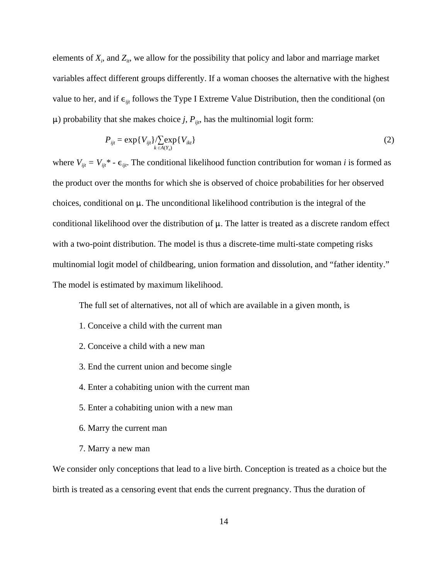elements of  $X_i$ , and  $Z_i$ , we allow for the possibility that policy and labor and marriage market variables affect different groups differently. If a woman chooses the alternative with the highest value to her, and if  $\epsilon_{ijt}$  follows the Type I Extreme Value Distribution, then the conditional (on  $\mu$ ) probability that she makes choice *j*,  $P_{ijt}$ , has the multinomial logit form:

$$
P_{ijt} = \exp\{V_{ijt}\} / \sum_{k \in A(Y_{ij})} \exp\{V_{ikt}\}
$$
 (2)

where  $V_{ijt} = V_{ijt}^*$  -  $\epsilon_{ijt}$ . The conditional likelihood function contribution for woman *i* is formed as the product over the months for which she is observed of choice probabilities for her observed choices, conditional on  $\mu$ . The unconditional likelihood contribution is the integral of the conditional likelihood over the distribution of  $\mu$ . The latter is treated as a discrete random effect with a two-point distribution. The model is thus a discrete-time multi-state competing risks multinomial logit model of childbearing, union formation and dissolution, and "father identity." The model is estimated by maximum likelihood.

The full set of alternatives, not all of which are available in a given month, is

- 1. Conceive a child with the current man
- 2. Conceive a child with a new man
- 3. End the current union and become single
- 4. Enter a cohabiting union with the current man
- 5. Enter a cohabiting union with a new man
- 6. Marry the current man
- 7. Marry a new man

We consider only conceptions that lead to a live birth. Conception is treated as a choice but the birth is treated as a censoring event that ends the current pregnancy. Thus the duration of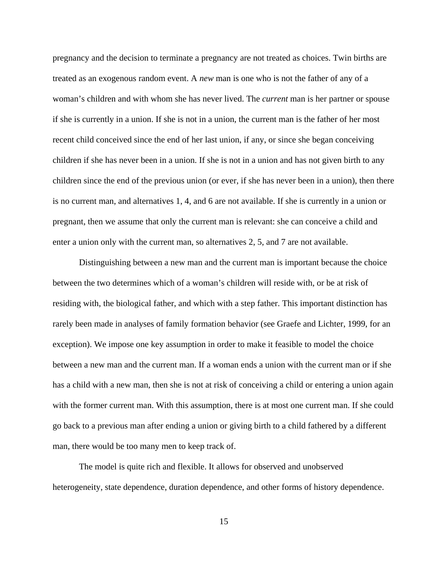pregnancy and the decision to terminate a pregnancy are not treated as choices. Twin births are treated as an exogenous random event. A *new* man is one who is not the father of any of a woman's children and with whom she has never lived. The *current* man is her partner or spouse if she is currently in a union. If she is not in a union, the current man is the father of her most recent child conceived since the end of her last union, if any, or since she began conceiving children if she has never been in a union. If she is not in a union and has not given birth to any children since the end of the previous union (or ever, if she has never been in a union), then there is no current man, and alternatives 1, 4, and 6 are not available. If she is currently in a union or pregnant, then we assume that only the current man is relevant: she can conceive a child and enter a union only with the current man, so alternatives 2, 5, and 7 are not available.

Distinguishing between a new man and the current man is important because the choice between the two determines which of a woman's children will reside with, or be at risk of residing with, the biological father, and which with a step father. This important distinction has rarely been made in analyses of family formation behavior (see Graefe and Lichter, 1999, for an exception). We impose one key assumption in order to make it feasible to model the choice between a new man and the current man. If a woman ends a union with the current man or if she has a child with a new man, then she is not at risk of conceiving a child or entering a union again with the former current man. With this assumption, there is at most one current man. If she could go back to a previous man after ending a union or giving birth to a child fathered by a different man, there would be too many men to keep track of.

The model is quite rich and flexible. It allows for observed and unobserved heterogeneity, state dependence, duration dependence, and other forms of history dependence.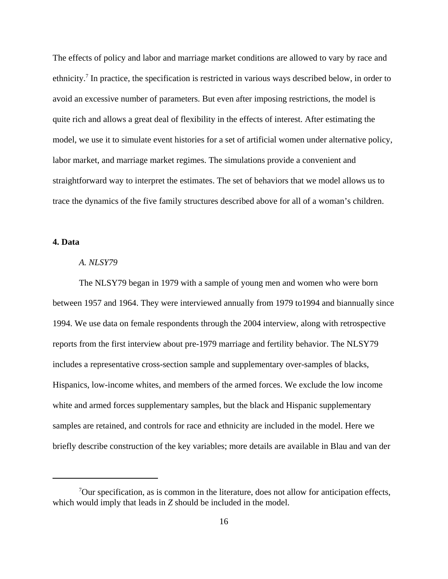The effects of policy and labor and marriage market conditions are allowed to vary by race and ethnicity.<sup>7</sup> In practice, the specification is restricted in various ways described below, in order to avoid an excessive number of parameters. But even after imposing restrictions, the model is quite rich and allows a great deal of flexibility in the effects of interest. After estimating the model, we use it to simulate event histories for a set of artificial women under alternative policy, labor market, and marriage market regimes. The simulations provide a convenient and straightforward way to interpret the estimates. The set of behaviors that we model allows us to trace the dynamics of the five family structures described above for all of a woman's children.

### **4. Data**

#### *A. NLSY79*

The NLSY79 began in 1979 with a sample of young men and women who were born between 1957 and 1964. They were interviewed annually from 1979 to1994 and biannually since 1994. We use data on female respondents through the 2004 interview, along with retrospective reports from the first interview about pre-1979 marriage and fertility behavior. The NLSY79 includes a representative cross-section sample and supplementary over-samples of blacks, Hispanics, low-income whites, and members of the armed forces. We exclude the low income white and armed forces supplementary samples, but the black and Hispanic supplementary samples are retained, and controls for race and ethnicity are included in the model. Here we briefly describe construction of the key variables; more details are available in Blau and van der

 $7$ Our specification, as is common in the literature, does not allow for anticipation effects, which would imply that leads in *Z* should be included in the model.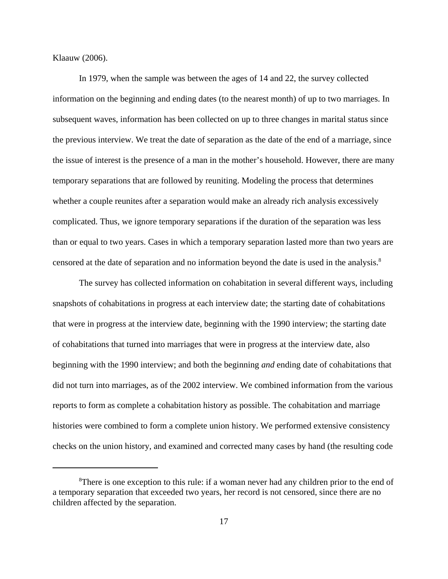Klaauw (2006).

In 1979, when the sample was between the ages of 14 and 22, the survey collected information on the beginning and ending dates (to the nearest month) of up to two marriages. In subsequent waves, information has been collected on up to three changes in marital status since the previous interview. We treat the date of separation as the date of the end of a marriage, since the issue of interest is the presence of a man in the mother's household. However, there are many temporary separations that are followed by reuniting. Modeling the process that determines whether a couple reunites after a separation would make an already rich analysis excessively complicated. Thus, we ignore temporary separations if the duration of the separation was less than or equal to two years. Cases in which a temporary separation lasted more than two years are censored at the date of separation and no information beyond the date is used in the analysis.8

The survey has collected information on cohabitation in several different ways, including snapshots of cohabitations in progress at each interview date; the starting date of cohabitations that were in progress at the interview date, beginning with the 1990 interview; the starting date of cohabitations that turned into marriages that were in progress at the interview date, also beginning with the 1990 interview; and both the beginning *and* ending date of cohabitations that did not turn into marriages, as of the 2002 interview. We combined information from the various reports to form as complete a cohabitation history as possible. The cohabitation and marriage histories were combined to form a complete union history. We performed extensive consistency checks on the union history, and examined and corrected many cases by hand (the resulting code

<sup>&</sup>lt;sup>8</sup>There is one exception to this rule: if a woman never had any children prior to the end of a temporary separation that exceeded two years, her record is not censored, since there are no children affected by the separation.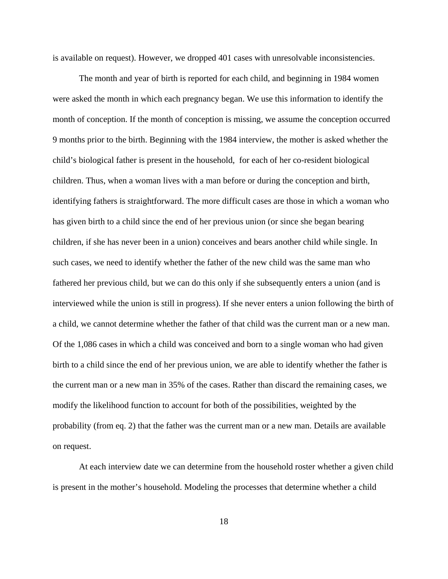is available on request). However, we dropped 401 cases with unresolvable inconsistencies.

The month and year of birth is reported for each child, and beginning in 1984 women were asked the month in which each pregnancy began. We use this information to identify the month of conception. If the month of conception is missing, we assume the conception occurred 9 months prior to the birth. Beginning with the 1984 interview, the mother is asked whether the child's biological father is present in the household, for each of her co-resident biological children. Thus, when a woman lives with a man before or during the conception and birth, identifying fathers is straightforward. The more difficult cases are those in which a woman who has given birth to a child since the end of her previous union (or since she began bearing children, if she has never been in a union) conceives and bears another child while single. In such cases, we need to identify whether the father of the new child was the same man who fathered her previous child, but we can do this only if she subsequently enters a union (and is interviewed while the union is still in progress). If she never enters a union following the birth of a child, we cannot determine whether the father of that child was the current man or a new man. Of the 1,086 cases in which a child was conceived and born to a single woman who had given birth to a child since the end of her previous union, we are able to identify whether the father is the current man or a new man in 35% of the cases. Rather than discard the remaining cases, we modify the likelihood function to account for both of the possibilities, weighted by the probability (from eq. 2) that the father was the current man or a new man. Details are available on request.

At each interview date we can determine from the household roster whether a given child is present in the mother's household. Modeling the processes that determine whether a child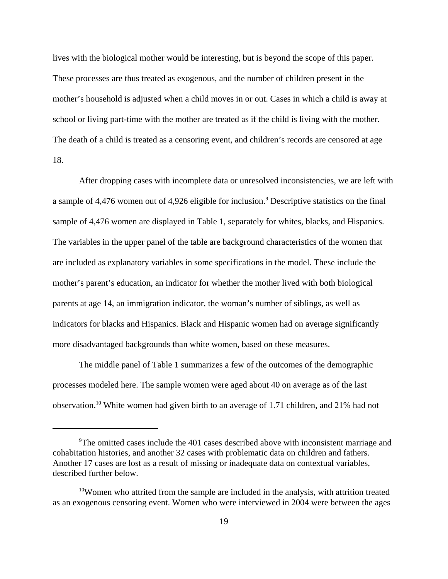lives with the biological mother would be interesting, but is beyond the scope of this paper. These processes are thus treated as exogenous, and the number of children present in the mother's household is adjusted when a child moves in or out. Cases in which a child is away at school or living part-time with the mother are treated as if the child is living with the mother. The death of a child is treated as a censoring event, and children's records are censored at age 18.

After dropping cases with incomplete data or unresolved inconsistencies, we are left with a sample of 4,476 women out of 4,926 eligible for inclusion.<sup>9</sup> Descriptive statistics on the final sample of 4,476 women are displayed in Table 1, separately for whites, blacks, and Hispanics. The variables in the upper panel of the table are background characteristics of the women that are included as explanatory variables in some specifications in the model. These include the mother's parent's education, an indicator for whether the mother lived with both biological parents at age 14, an immigration indicator, the woman's number of siblings, as well as indicators for blacks and Hispanics. Black and Hispanic women had on average significantly more disadvantaged backgrounds than white women, based on these measures.

The middle panel of Table 1 summarizes a few of the outcomes of the demographic processes modeled here. The sample women were aged about 40 on average as of the last observation.10 White women had given birth to an average of 1.71 children, and 21% had not

<sup>&</sup>lt;sup>9</sup>The omitted cases include the 401 cases described above with inconsistent marriage and cohabitation histories, and another 32 cases with problematic data on children and fathers. Another 17 cases are lost as a result of missing or inadequate data on contextual variables, described further below.

<sup>&</sup>lt;sup>10</sup>Women who attrited from the sample are included in the analysis, with attrition treated as an exogenous censoring event. Women who were interviewed in 2004 were between the ages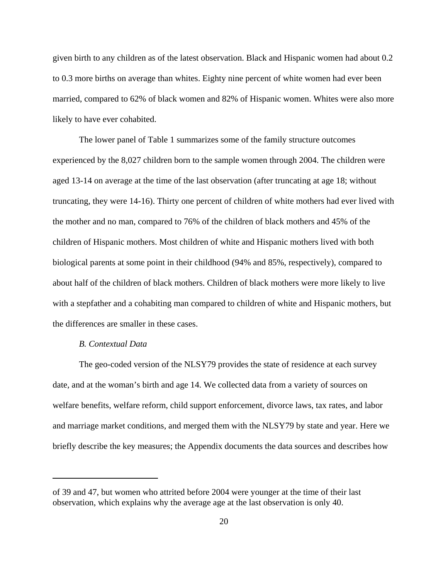given birth to any children as of the latest observation. Black and Hispanic women had about 0.2 to 0.3 more births on average than whites. Eighty nine percent of white women had ever been married, compared to 62% of black women and 82% of Hispanic women. Whites were also more likely to have ever cohabited.

The lower panel of Table 1 summarizes some of the family structure outcomes experienced by the 8,027 children born to the sample women through 2004. The children were aged 13-14 on average at the time of the last observation (after truncating at age 18; without truncating, they were 14-16). Thirty one percent of children of white mothers had ever lived with the mother and no man, compared to 76% of the children of black mothers and 45% of the children of Hispanic mothers. Most children of white and Hispanic mothers lived with both biological parents at some point in their childhood (94% and 85%, respectively), compared to about half of the children of black mothers. Children of black mothers were more likely to live with a stepfather and a cohabiting man compared to children of white and Hispanic mothers, but the differences are smaller in these cases.

### *B. Contextual Data*

The geo-coded version of the NLSY79 provides the state of residence at each survey date, and at the woman's birth and age 14. We collected data from a variety of sources on welfare benefits, welfare reform, child support enforcement, divorce laws, tax rates, and labor and marriage market conditions, and merged them with the NLSY79 by state and year. Here we briefly describe the key measures; the Appendix documents the data sources and describes how

of 39 and 47, but women who attrited before 2004 were younger at the time of their last observation, which explains why the average age at the last observation is only 40.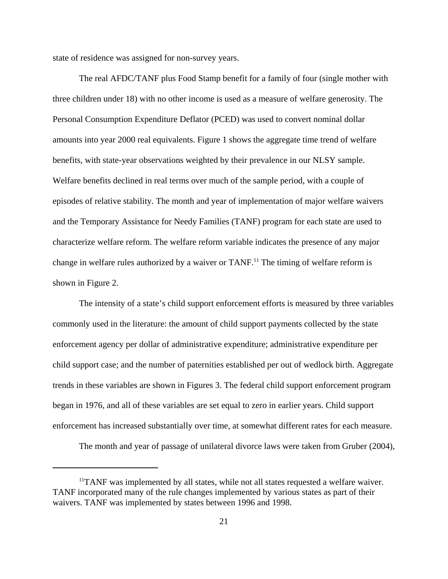state of residence was assigned for non-survey years.

The real AFDC/TANF plus Food Stamp benefit for a family of four (single mother with three children under 18) with no other income is used as a measure of welfare generosity. The Personal Consumption Expenditure Deflator (PCED) was used to convert nominal dollar amounts into year 2000 real equivalents. Figure 1 shows the aggregate time trend of welfare benefits, with state-year observations weighted by their prevalence in our NLSY sample. Welfare benefits declined in real terms over much of the sample period, with a couple of episodes of relative stability. The month and year of implementation of major welfare waivers and the Temporary Assistance for Needy Families (TANF) program for each state are used to characterize welfare reform. The welfare reform variable indicates the presence of any major change in welfare rules authorized by a waiver or TANF.<sup>11</sup> The timing of welfare reform is shown in Figure 2.

The intensity of a state's child support enforcement efforts is measured by three variables commonly used in the literature: the amount of child support payments collected by the state enforcement agency per dollar of administrative expenditure; administrative expenditure per child support case; and the number of paternities established per out of wedlock birth. Aggregate trends in these variables are shown in Figures 3. The federal child support enforcement program began in 1976, and all of these variables are set equal to zero in earlier years. Child support enforcement has increased substantially over time, at somewhat different rates for each measure.

The month and year of passage of unilateral divorce laws were taken from Gruber (2004),

 $<sup>11</sup> TANF$  was implemented by all states, while not all states requested a welfare waiver.</sup> TANF incorporated many of the rule changes implemented by various states as part of their waivers. TANF was implemented by states between 1996 and 1998.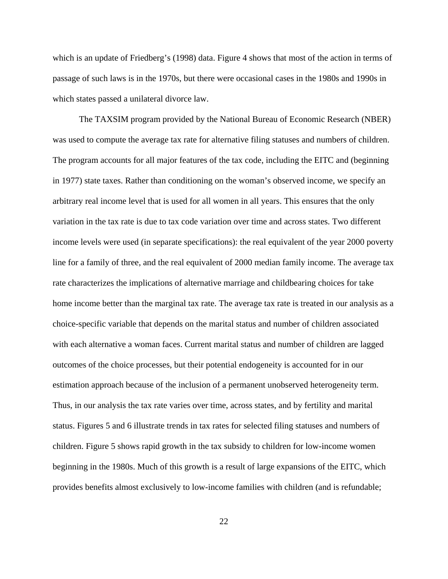which is an update of Friedberg's (1998) data. Figure 4 shows that most of the action in terms of passage of such laws is in the 1970s, but there were occasional cases in the 1980s and 1990s in which states passed a unilateral divorce law.

The TAXSIM program provided by the National Bureau of Economic Research (NBER) was used to compute the average tax rate for alternative filing statuses and numbers of children. The program accounts for all major features of the tax code, including the EITC and (beginning in 1977) state taxes. Rather than conditioning on the woman's observed income, we specify an arbitrary real income level that is used for all women in all years. This ensures that the only variation in the tax rate is due to tax code variation over time and across states. Two different income levels were used (in separate specifications): the real equivalent of the year 2000 poverty line for a family of three, and the real equivalent of 2000 median family income. The average tax rate characterizes the implications of alternative marriage and childbearing choices for take home income better than the marginal tax rate. The average tax rate is treated in our analysis as a choice-specific variable that depends on the marital status and number of children associated with each alternative a woman faces. Current marital status and number of children are lagged outcomes of the choice processes, but their potential endogeneity is accounted for in our estimation approach because of the inclusion of a permanent unobserved heterogeneity term. Thus, in our analysis the tax rate varies over time, across states, and by fertility and marital status. Figures 5 and 6 illustrate trends in tax rates for selected filing statuses and numbers of children. Figure 5 shows rapid growth in the tax subsidy to children for low-income women beginning in the 1980s. Much of this growth is a result of large expansions of the EITC, which provides benefits almost exclusively to low-income families with children (and is refundable;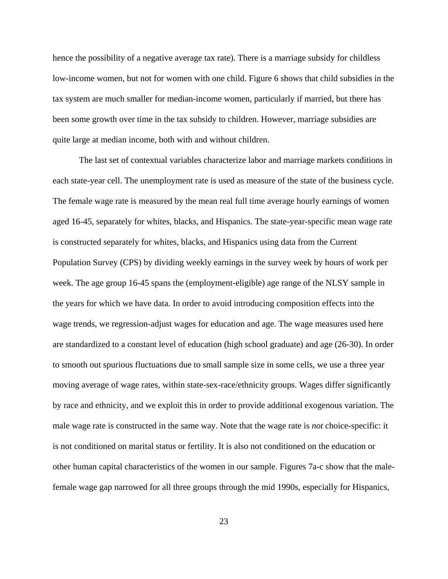hence the possibility of a negative average tax rate). There is a marriage subsidy for childless low-income women, but not for women with one child. Figure 6 shows that child subsidies in the tax system are much smaller for median-income women, particularly if married, but there has been some growth over time in the tax subsidy to children. However, marriage subsidies are quite large at median income, both with and without children.

The last set of contextual variables characterize labor and marriage markets conditions in each state-year cell. The unemployment rate is used as measure of the state of the business cycle. The female wage rate is measured by the mean real full time average hourly earnings of women aged 16-45, separately for whites, blacks, and Hispanics. The state-year-specific mean wage rate is constructed separately for whites, blacks, and Hispanics using data from the Current Population Survey (CPS) by dividing weekly earnings in the survey week by hours of work per week. The age group 16-45 spans the (employment-eligible) age range of the NLSY sample in the years for which we have data. In order to avoid introducing composition effects into the wage trends, we regression-adjust wages for education and age. The wage measures used here are standardized to a constant level of education (high school graduate) and age (26-30). In order to smooth out spurious fluctuations due to small sample size in some cells, we use a three year moving average of wage rates, within state-sex-race/ethnicity groups. Wages differ significantly by race and ethnicity, and we exploit this in order to provide additional exogenous variation. The male wage rate is constructed in the same way. Note that the wage rate is *not* choice-specific: it is not conditioned on marital status or fertility. It is also not conditioned on the education or other human capital characteristics of the women in our sample. Figures 7a-c show that the malefemale wage gap narrowed for all three groups through the mid 1990s, especially for Hispanics,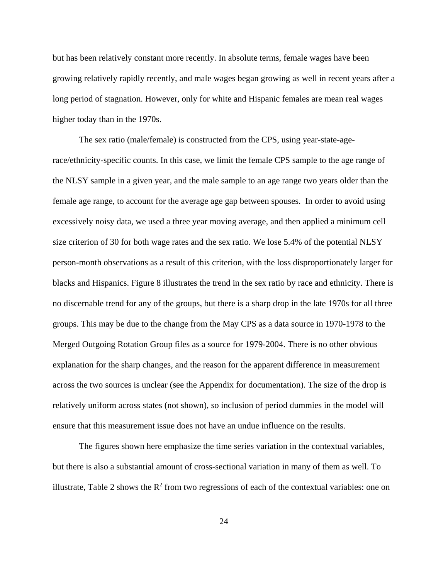but has been relatively constant more recently. In absolute terms, female wages have been growing relatively rapidly recently, and male wages began growing as well in recent years after a long period of stagnation. However, only for white and Hispanic females are mean real wages higher today than in the 1970s.

The sex ratio (male/female) is constructed from the CPS, using year-state-agerace/ethnicity-specific counts. In this case, we limit the female CPS sample to the age range of the NLSY sample in a given year, and the male sample to an age range two years older than the female age range, to account for the average age gap between spouses. In order to avoid using excessively noisy data, we used a three year moving average, and then applied a minimum cell size criterion of 30 for both wage rates and the sex ratio. We lose 5.4% of the potential NLSY person-month observations as a result of this criterion, with the loss disproportionately larger for blacks and Hispanics. Figure 8 illustrates the trend in the sex ratio by race and ethnicity. There is no discernable trend for any of the groups, but there is a sharp drop in the late 1970s for all three groups. This may be due to the change from the May CPS as a data source in 1970-1978 to the Merged Outgoing Rotation Group files as a source for 1979-2004. There is no other obvious explanation for the sharp changes, and the reason for the apparent difference in measurement across the two sources is unclear (see the Appendix for documentation). The size of the drop is relatively uniform across states (not shown), so inclusion of period dummies in the model will ensure that this measurement issue does not have an undue influence on the results.

The figures shown here emphasize the time series variation in the contextual variables, but there is also a substantial amount of cross-sectional variation in many of them as well. To illustrate, Table 2 shows the  $R^2$  from two regressions of each of the contextual variables: one on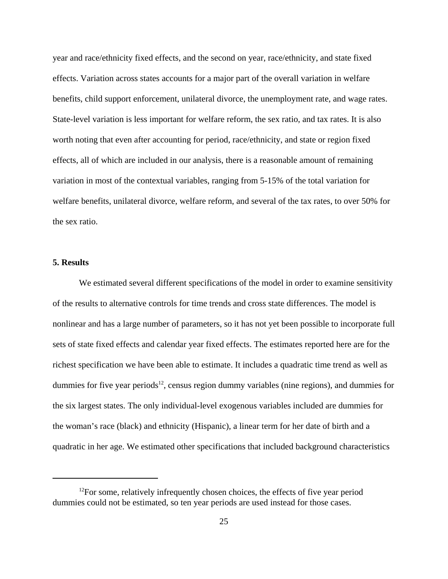year and race/ethnicity fixed effects, and the second on year, race/ethnicity, and state fixed effects. Variation across states accounts for a major part of the overall variation in welfare benefits, child support enforcement, unilateral divorce, the unemployment rate, and wage rates. State-level variation is less important for welfare reform, the sex ratio, and tax rates. It is also worth noting that even after accounting for period, race/ethnicity, and state or region fixed effects, all of which are included in our analysis, there is a reasonable amount of remaining variation in most of the contextual variables, ranging from 5-15% of the total variation for welfare benefits, unilateral divorce, welfare reform, and several of the tax rates, to over 50% for the sex ratio.

### **5. Results**

We estimated several different specifications of the model in order to examine sensitivity of the results to alternative controls for time trends and cross state differences. The model is nonlinear and has a large number of parameters, so it has not yet been possible to incorporate full sets of state fixed effects and calendar year fixed effects. The estimates reported here are for the richest specification we have been able to estimate. It includes a quadratic time trend as well as dummies for five year periods<sup>12</sup>, census region dummy variables (nine regions), and dummies for the six largest states. The only individual-level exogenous variables included are dummies for the woman's race (black) and ethnicity (Hispanic), a linear term for her date of birth and a quadratic in her age. We estimated other specifications that included background characteristics

 $12$ For some, relatively infrequently chosen choices, the effects of five year period dummies could not be estimated, so ten year periods are used instead for those cases.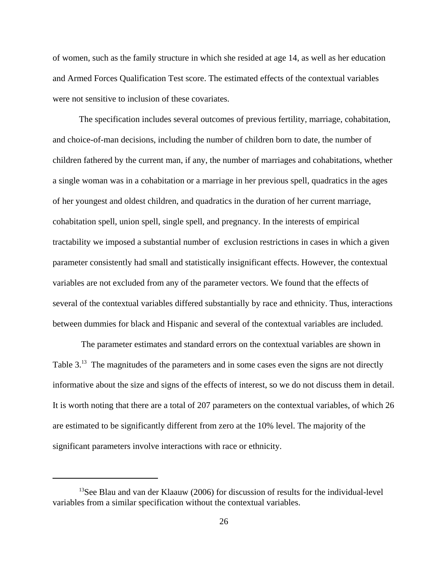of women, such as the family structure in which she resided at age 14, as well as her education and Armed Forces Qualification Test score. The estimated effects of the contextual variables were not sensitive to inclusion of these covariates.

The specification includes several outcomes of previous fertility, marriage, cohabitation, and choice-of-man decisions, including the number of children born to date, the number of children fathered by the current man, if any, the number of marriages and cohabitations, whether a single woman was in a cohabitation or a marriage in her previous spell, quadratics in the ages of her youngest and oldest children, and quadratics in the duration of her current marriage, cohabitation spell, union spell, single spell, and pregnancy. In the interests of empirical tractability we imposed a substantial number of exclusion restrictions in cases in which a given parameter consistently had small and statistically insignificant effects. However, the contextual variables are not excluded from any of the parameter vectors. We found that the effects of several of the contextual variables differed substantially by race and ethnicity. Thus, interactions between dummies for black and Hispanic and several of the contextual variables are included.

 The parameter estimates and standard errors on the contextual variables are shown in Table 3.<sup>13</sup> The magnitudes of the parameters and in some cases even the signs are not directly informative about the size and signs of the effects of interest, so we do not discuss them in detail. It is worth noting that there are a total of 207 parameters on the contextual variables, of which 26 are estimated to be significantly different from zero at the 10% level. The majority of the significant parameters involve interactions with race or ethnicity.

<sup>&</sup>lt;sup>13</sup>See Blau and van der Klaauw (2006) for discussion of results for the individual-level variables from a similar specification without the contextual variables.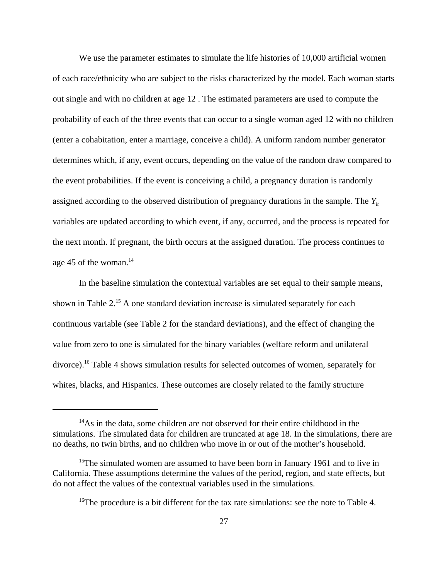We use the parameter estimates to simulate the life histories of 10,000 artificial women of each race/ethnicity who are subject to the risks characterized by the model. Each woman starts out single and with no children at age 12 . The estimated parameters are used to compute the probability of each of the three events that can occur to a single woman aged 12 with no children (enter a cohabitation, enter a marriage, conceive a child). A uniform random number generator determines which, if any, event occurs, depending on the value of the random draw compared to the event probabilities. If the event is conceiving a child, a pregnancy duration is randomly assigned according to the observed distribution of pregnancy durations in the sample. The  $Y_{it}$ variables are updated according to which event, if any, occurred, and the process is repeated for the next month. If pregnant, the birth occurs at the assigned duration. The process continues to age 45 of the woman. $14$ 

In the baseline simulation the contextual variables are set equal to their sample means, shown in Table 2.<sup>15</sup> A one standard deviation increase is simulated separately for each continuous variable (see Table 2 for the standard deviations), and the effect of changing the value from zero to one is simulated for the binary variables (welfare reform and unilateral divorce).16 Table 4 shows simulation results for selected outcomes of women, separately for whites, blacks, and Hispanics. These outcomes are closely related to the family structure

 $14$ As in the data, some children are not observed for their entire childhood in the simulations. The simulated data for children are truncated at age 18. In the simulations, there are no deaths, no twin births, and no children who move in or out of the mother's household.

<sup>&</sup>lt;sup>15</sup>The simulated women are assumed to have been born in January 1961 and to live in California. These assumptions determine the values of the period, region, and state effects, but do not affect the values of the contextual variables used in the simulations.

<sup>&</sup>lt;sup>16</sup>The procedure is a bit different for the tax rate simulations: see the note to Table 4.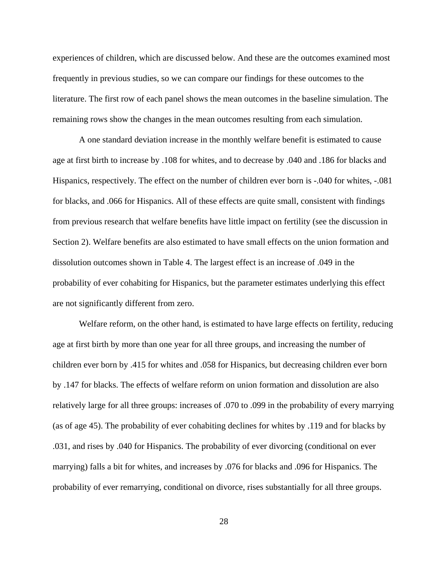experiences of children, which are discussed below. And these are the outcomes examined most frequently in previous studies, so we can compare our findings for these outcomes to the literature. The first row of each panel shows the mean outcomes in the baseline simulation. The remaining rows show the changes in the mean outcomes resulting from each simulation.

A one standard deviation increase in the monthly welfare benefit is estimated to cause age at first birth to increase by .108 for whites, and to decrease by .040 and .186 for blacks and Hispanics, respectively. The effect on the number of children ever born is -.040 for whites, -.081 for blacks, and .066 for Hispanics. All of these effects are quite small, consistent with findings from previous research that welfare benefits have little impact on fertility (see the discussion in Section 2). Welfare benefits are also estimated to have small effects on the union formation and dissolution outcomes shown in Table 4. The largest effect is an increase of .049 in the probability of ever cohabiting for Hispanics, but the parameter estimates underlying this effect are not significantly different from zero.

Welfare reform, on the other hand, is estimated to have large effects on fertility, reducing age at first birth by more than one year for all three groups, and increasing the number of children ever born by .415 for whites and .058 for Hispanics, but decreasing children ever born by .147 for blacks. The effects of welfare reform on union formation and dissolution are also relatively large for all three groups: increases of .070 to .099 in the probability of every marrying (as of age 45). The probability of ever cohabiting declines for whites by .119 and for blacks by .031, and rises by .040 for Hispanics. The probability of ever divorcing (conditional on ever marrying) falls a bit for whites, and increases by .076 for blacks and .096 for Hispanics. The probability of ever remarrying, conditional on divorce, rises substantially for all three groups.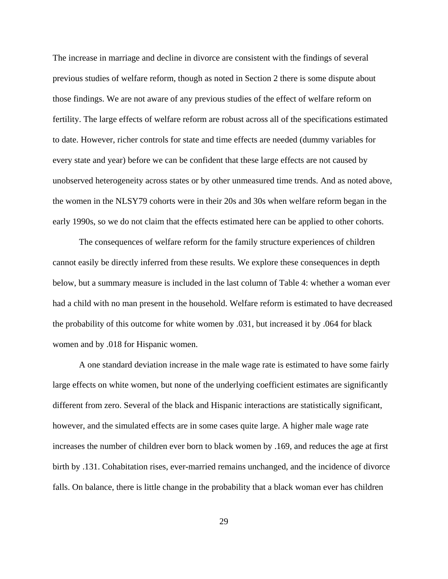The increase in marriage and decline in divorce are consistent with the findings of several previous studies of welfare reform, though as noted in Section 2 there is some dispute about those findings. We are not aware of any previous studies of the effect of welfare reform on fertility. The large effects of welfare reform are robust across all of the specifications estimated to date. However, richer controls for state and time effects are needed (dummy variables for every state and year) before we can be confident that these large effects are not caused by unobserved heterogeneity across states or by other unmeasured time trends. And as noted above, the women in the NLSY79 cohorts were in their 20s and 30s when welfare reform began in the early 1990s, so we do not claim that the effects estimated here can be applied to other cohorts.

The consequences of welfare reform for the family structure experiences of children cannot easily be directly inferred from these results. We explore these consequences in depth below, but a summary measure is included in the last column of Table 4: whether a woman ever had a child with no man present in the household. Welfare reform is estimated to have decreased the probability of this outcome for white women by .031, but increased it by .064 for black women and by .018 for Hispanic women.

A one standard deviation increase in the male wage rate is estimated to have some fairly large effects on white women, but none of the underlying coefficient estimates are significantly different from zero. Several of the black and Hispanic interactions are statistically significant, however, and the simulated effects are in some cases quite large. A higher male wage rate increases the number of children ever born to black women by .169, and reduces the age at first birth by .131. Cohabitation rises, ever-married remains unchanged, and the incidence of divorce falls. On balance, there is little change in the probability that a black woman ever has children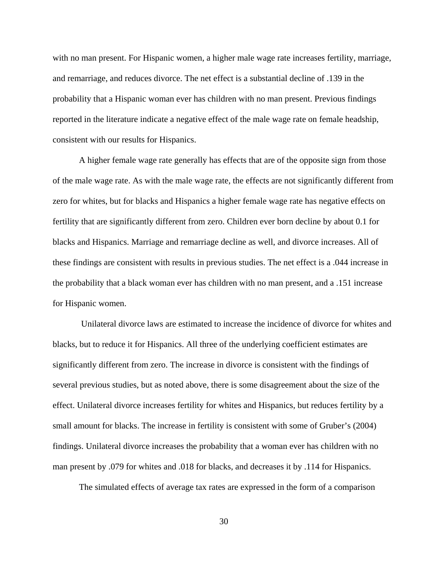with no man present. For Hispanic women, a higher male wage rate increases fertility, marriage, and remarriage, and reduces divorce. The net effect is a substantial decline of .139 in the probability that a Hispanic woman ever has children with no man present. Previous findings reported in the literature indicate a negative effect of the male wage rate on female headship, consistent with our results for Hispanics.

A higher female wage rate generally has effects that are of the opposite sign from those of the male wage rate. As with the male wage rate, the effects are not significantly different from zero for whites, but for blacks and Hispanics a higher female wage rate has negative effects on fertility that are significantly different from zero. Children ever born decline by about 0.1 for blacks and Hispanics. Marriage and remarriage decline as well, and divorce increases. All of these findings are consistent with results in previous studies. The net effect is a .044 increase in the probability that a black woman ever has children with no man present, and a .151 increase for Hispanic women.

 Unilateral divorce laws are estimated to increase the incidence of divorce for whites and blacks, but to reduce it for Hispanics. All three of the underlying coefficient estimates are significantly different from zero. The increase in divorce is consistent with the findings of several previous studies, but as noted above, there is some disagreement about the size of the effect. Unilateral divorce increases fertility for whites and Hispanics, but reduces fertility by a small amount for blacks. The increase in fertility is consistent with some of Gruber's (2004) findings. Unilateral divorce increases the probability that a woman ever has children with no man present by .079 for whites and .018 for blacks, and decreases it by .114 for Hispanics.

The simulated effects of average tax rates are expressed in the form of a comparison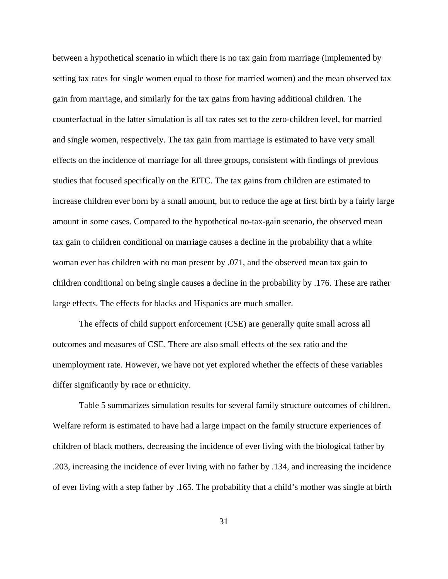between a hypothetical scenario in which there is no tax gain from marriage (implemented by setting tax rates for single women equal to those for married women) and the mean observed tax gain from marriage, and similarly for the tax gains from having additional children. The counterfactual in the latter simulation is all tax rates set to the zero-children level, for married and single women, respectively. The tax gain from marriage is estimated to have very small effects on the incidence of marriage for all three groups, consistent with findings of previous studies that focused specifically on the EITC. The tax gains from children are estimated to increase children ever born by a small amount, but to reduce the age at first birth by a fairly large amount in some cases. Compared to the hypothetical no-tax-gain scenario, the observed mean tax gain to children conditional on marriage causes a decline in the probability that a white woman ever has children with no man present by .071, and the observed mean tax gain to children conditional on being single causes a decline in the probability by .176. These are rather large effects. The effects for blacks and Hispanics are much smaller.

The effects of child support enforcement (CSE) are generally quite small across all outcomes and measures of CSE. There are also small effects of the sex ratio and the unemployment rate. However, we have not yet explored whether the effects of these variables differ significantly by race or ethnicity.

Table 5 summarizes simulation results for several family structure outcomes of children. Welfare reform is estimated to have had a large impact on the family structure experiences of children of black mothers, decreasing the incidence of ever living with the biological father by .203, increasing the incidence of ever living with no father by .134, and increasing the incidence of ever living with a step father by .165. The probability that a child's mother was single at birth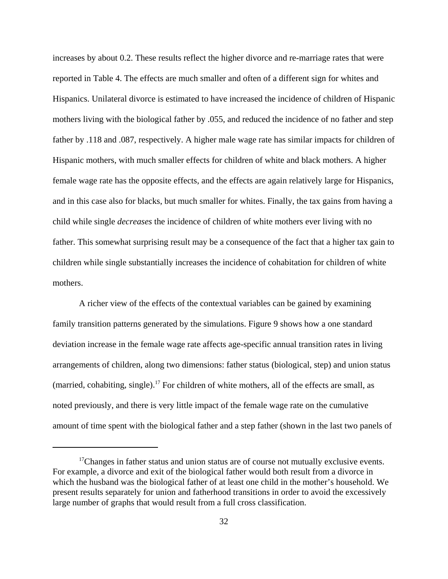increases by about 0.2. These results reflect the higher divorce and re-marriage rates that were reported in Table 4. The effects are much smaller and often of a different sign for whites and Hispanics. Unilateral divorce is estimated to have increased the incidence of children of Hispanic mothers living with the biological father by .055, and reduced the incidence of no father and step father by .118 and .087, respectively. A higher male wage rate has similar impacts for children of Hispanic mothers, with much smaller effects for children of white and black mothers. A higher female wage rate has the opposite effects, and the effects are again relatively large for Hispanics, and in this case also for blacks, but much smaller for whites. Finally, the tax gains from having a child while single *decreases* the incidence of children of white mothers ever living with no father. This somewhat surprising result may be a consequence of the fact that a higher tax gain to children while single substantially increases the incidence of cohabitation for children of white mothers.

A richer view of the effects of the contextual variables can be gained by examining family transition patterns generated by the simulations. Figure 9 shows how a one standard deviation increase in the female wage rate affects age-specific annual transition rates in living arrangements of children, along two dimensions: father status (biological, step) and union status (married, cohabiting, single).<sup>17</sup> For children of white mothers, all of the effects are small, as noted previously, and there is very little impact of the female wage rate on the cumulative amount of time spent with the biological father and a step father (shown in the last two panels of

 $17$ Changes in father status and union status are of course not mutually exclusive events. For example, a divorce and exit of the biological father would both result from a divorce in which the husband was the biological father of at least one child in the mother's household. We present results separately for union and fatherhood transitions in order to avoid the excessively large number of graphs that would result from a full cross classification.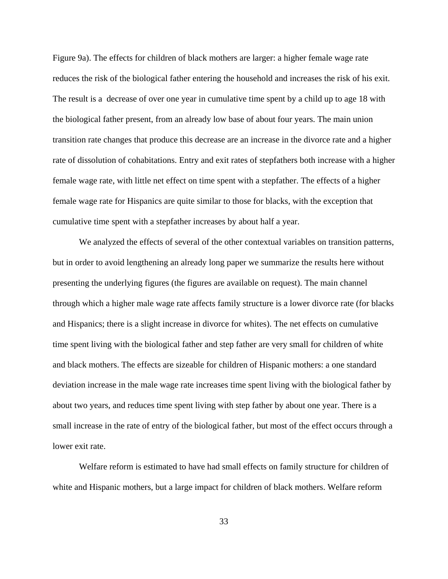Figure 9a). The effects for children of black mothers are larger: a higher female wage rate reduces the risk of the biological father entering the household and increases the risk of his exit. The result is a decrease of over one year in cumulative time spent by a child up to age 18 with the biological father present, from an already low base of about four years. The main union transition rate changes that produce this decrease are an increase in the divorce rate and a higher rate of dissolution of cohabitations. Entry and exit rates of stepfathers both increase with a higher female wage rate, with little net effect on time spent with a stepfather. The effects of a higher female wage rate for Hispanics are quite similar to those for blacks, with the exception that cumulative time spent with a stepfather increases by about half a year.

We analyzed the effects of several of the other contextual variables on transition patterns, but in order to avoid lengthening an already long paper we summarize the results here without presenting the underlying figures (the figures are available on request). The main channel through which a higher male wage rate affects family structure is a lower divorce rate (for blacks and Hispanics; there is a slight increase in divorce for whites). The net effects on cumulative time spent living with the biological father and step father are very small for children of white and black mothers. The effects are sizeable for children of Hispanic mothers: a one standard deviation increase in the male wage rate increases time spent living with the biological father by about two years, and reduces time spent living with step father by about one year. There is a small increase in the rate of entry of the biological father, but most of the effect occurs through a lower exit rate.

Welfare reform is estimated to have had small effects on family structure for children of white and Hispanic mothers, but a large impact for children of black mothers. Welfare reform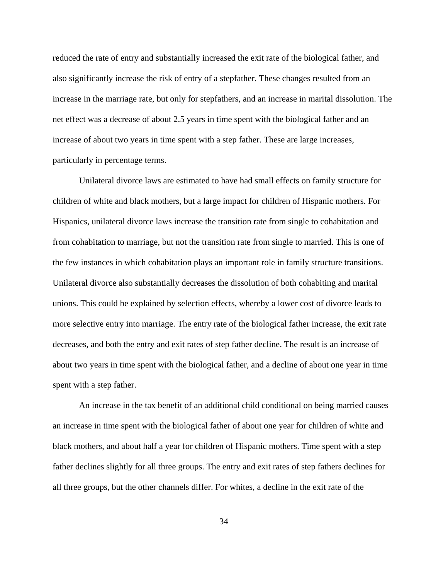reduced the rate of entry and substantially increased the exit rate of the biological father, and also significantly increase the risk of entry of a stepfather. These changes resulted from an increase in the marriage rate, but only for stepfathers, and an increase in marital dissolution. The net effect was a decrease of about 2.5 years in time spent with the biological father and an increase of about two years in time spent with a step father. These are large increases, particularly in percentage terms.

Unilateral divorce laws are estimated to have had small effects on family structure for children of white and black mothers, but a large impact for children of Hispanic mothers. For Hispanics, unilateral divorce laws increase the transition rate from single to cohabitation and from cohabitation to marriage, but not the transition rate from single to married. This is one of the few instances in which cohabitation plays an important role in family structure transitions. Unilateral divorce also substantially decreases the dissolution of both cohabiting and marital unions. This could be explained by selection effects, whereby a lower cost of divorce leads to more selective entry into marriage. The entry rate of the biological father increase, the exit rate decreases, and both the entry and exit rates of step father decline. The result is an increase of about two years in time spent with the biological father, and a decline of about one year in time spent with a step father.

An increase in the tax benefit of an additional child conditional on being married causes an increase in time spent with the biological father of about one year for children of white and black mothers, and about half a year for children of Hispanic mothers. Time spent with a step father declines slightly for all three groups. The entry and exit rates of step fathers declines for all three groups, but the other channels differ. For whites, a decline in the exit rate of the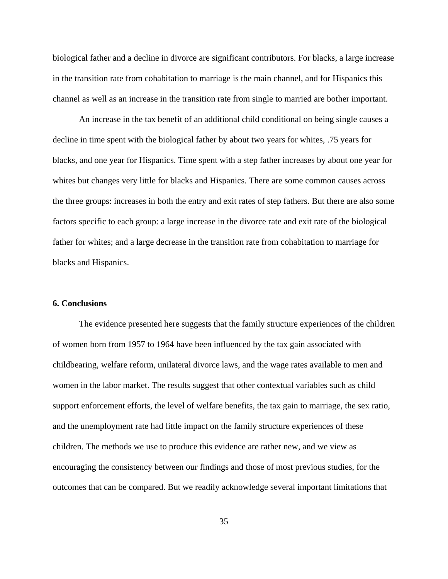biological father and a decline in divorce are significant contributors. For blacks, a large increase in the transition rate from cohabitation to marriage is the main channel, and for Hispanics this channel as well as an increase in the transition rate from single to married are bother important.

An increase in the tax benefit of an additional child conditional on being single causes a decline in time spent with the biological father by about two years for whites, .75 years for blacks, and one year for Hispanics. Time spent with a step father increases by about one year for whites but changes very little for blacks and Hispanics. There are some common causes across the three groups: increases in both the entry and exit rates of step fathers. But there are also some factors specific to each group: a large increase in the divorce rate and exit rate of the biological father for whites; and a large decrease in the transition rate from cohabitation to marriage for blacks and Hispanics.

### **6. Conclusions**

The evidence presented here suggests that the family structure experiences of the children of women born from 1957 to 1964 have been influenced by the tax gain associated with childbearing, welfare reform, unilateral divorce laws, and the wage rates available to men and women in the labor market. The results suggest that other contextual variables such as child support enforcement efforts, the level of welfare benefits, the tax gain to marriage, the sex ratio, and the unemployment rate had little impact on the family structure experiences of these children. The methods we use to produce this evidence are rather new, and we view as encouraging the consistency between our findings and those of most previous studies, for the outcomes that can be compared. But we readily acknowledge several important limitations that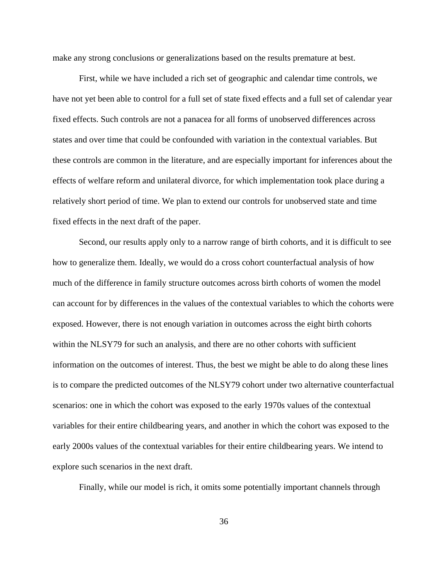make any strong conclusions or generalizations based on the results premature at best.

First, while we have included a rich set of geographic and calendar time controls, we have not yet been able to control for a full set of state fixed effects and a full set of calendar year fixed effects. Such controls are not a panacea for all forms of unobserved differences across states and over time that could be confounded with variation in the contextual variables. But these controls are common in the literature, and are especially important for inferences about the effects of welfare reform and unilateral divorce, for which implementation took place during a relatively short period of time. We plan to extend our controls for unobserved state and time fixed effects in the next draft of the paper.

Second, our results apply only to a narrow range of birth cohorts, and it is difficult to see how to generalize them. Ideally, we would do a cross cohort counterfactual analysis of how much of the difference in family structure outcomes across birth cohorts of women the model can account for by differences in the values of the contextual variables to which the cohorts were exposed. However, there is not enough variation in outcomes across the eight birth cohorts within the NLSY79 for such an analysis, and there are no other cohorts with sufficient information on the outcomes of interest. Thus, the best we might be able to do along these lines is to compare the predicted outcomes of the NLSY79 cohort under two alternative counterfactual scenarios: one in which the cohort was exposed to the early 1970s values of the contextual variables for their entire childbearing years, and another in which the cohort was exposed to the early 2000s values of the contextual variables for their entire childbearing years. We intend to explore such scenarios in the next draft.

Finally, while our model is rich, it omits some potentially important channels through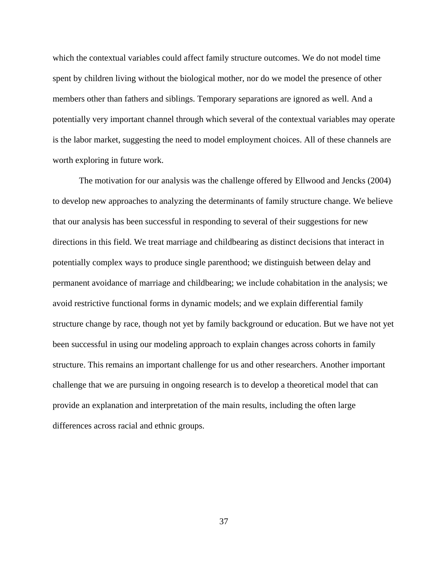which the contextual variables could affect family structure outcomes. We do not model time spent by children living without the biological mother, nor do we model the presence of other members other than fathers and siblings. Temporary separations are ignored as well. And a potentially very important channel through which several of the contextual variables may operate is the labor market, suggesting the need to model employment choices. All of these channels are worth exploring in future work.

The motivation for our analysis was the challenge offered by Ellwood and Jencks (2004) to develop new approaches to analyzing the determinants of family structure change. We believe that our analysis has been successful in responding to several of their suggestions for new directions in this field. We treat marriage and childbearing as distinct decisions that interact in potentially complex ways to produce single parenthood; we distinguish between delay and permanent avoidance of marriage and childbearing; we include cohabitation in the analysis; we avoid restrictive functional forms in dynamic models; and we explain differential family structure change by race, though not yet by family background or education. But we have not yet been successful in using our modeling approach to explain changes across cohorts in family structure. This remains an important challenge for us and other researchers. Another important challenge that we are pursuing in ongoing research is to develop a theoretical model that can provide an explanation and interpretation of the main results, including the often large differences across racial and ethnic groups.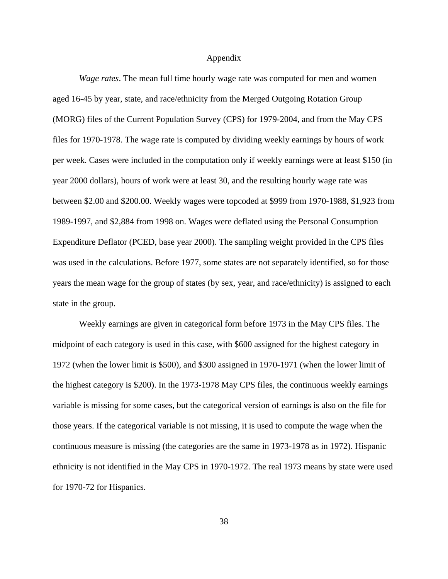#### Appendix

*Wage rates*. The mean full time hourly wage rate was computed for men and women aged 16-45 by year, state, and race/ethnicity from the Merged Outgoing Rotation Group (MORG) files of the Current Population Survey (CPS) for 1979-2004, and from the May CPS files for 1970-1978. The wage rate is computed by dividing weekly earnings by hours of work per week. Cases were included in the computation only if weekly earnings were at least \$150 (in year 2000 dollars), hours of work were at least 30, and the resulting hourly wage rate was between \$2.00 and \$200.00. Weekly wages were topcoded at \$999 from 1970-1988, \$1,923 from 1989-1997, and \$2,884 from 1998 on. Wages were deflated using the Personal Consumption Expenditure Deflator (PCED, base year 2000). The sampling weight provided in the CPS files was used in the calculations. Before 1977, some states are not separately identified, so for those years the mean wage for the group of states (by sex, year, and race/ethnicity) is assigned to each state in the group.

Weekly earnings are given in categorical form before 1973 in the May CPS files. The midpoint of each category is used in this case, with \$600 assigned for the highest category in 1972 (when the lower limit is \$500), and \$300 assigned in 1970-1971 (when the lower limit of the highest category is \$200). In the 1973-1978 May CPS files, the continuous weekly earnings variable is missing for some cases, but the categorical version of earnings is also on the file for those years. If the categorical variable is not missing, it is used to compute the wage when the continuous measure is missing (the categories are the same in 1973-1978 as in 1972). Hispanic ethnicity is not identified in the May CPS in 1970-1972. The real 1973 means by state were used for 1970-72 for Hispanics.

38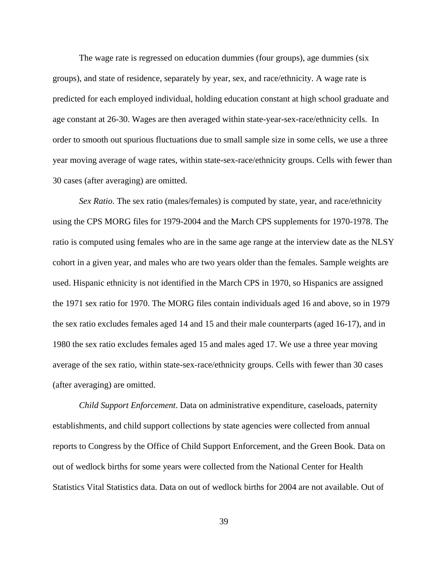The wage rate is regressed on education dummies (four groups), age dummies (six groups), and state of residence, separately by year, sex, and race/ethnicity. A wage rate is predicted for each employed individual, holding education constant at high school graduate and age constant at 26-30. Wages are then averaged within state-year-sex-race/ethnicity cells. In order to smooth out spurious fluctuations due to small sample size in some cells, we use a three year moving average of wage rates, within state-sex-race/ethnicity groups. Cells with fewer than 30 cases (after averaging) are omitted.

*Sex Ratio*. The sex ratio (males/females) is computed by state, year, and race/ethnicity using the CPS MORG files for 1979-2004 and the March CPS supplements for 1970-1978. The ratio is computed using females who are in the same age range at the interview date as the NLSY cohort in a given year, and males who are two years older than the females. Sample weights are used. Hispanic ethnicity is not identified in the March CPS in 1970, so Hispanics are assigned the 1971 sex ratio for 1970. The MORG files contain individuals aged 16 and above, so in 1979 the sex ratio excludes females aged 14 and 15 and their male counterparts (aged 16-17), and in 1980 the sex ratio excludes females aged 15 and males aged 17. We use a three year moving average of the sex ratio, within state-sex-race/ethnicity groups. Cells with fewer than 30 cases (after averaging) are omitted.

*Child Support Enforcement*. Data on administrative expenditure, caseloads, paternity establishments, and child support collections by state agencies were collected from annual reports to Congress by the Office of Child Support Enforcement, and the Green Book. Data on out of wedlock births for some years were collected from the National Center for Health Statistics Vital Statistics data. Data on out of wedlock births for 2004 are not available. Out of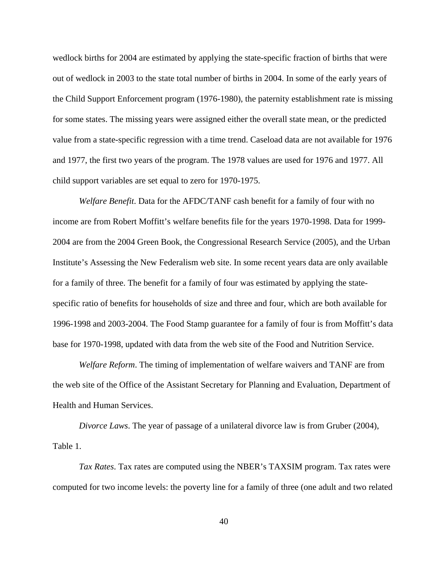wedlock births for 2004 are estimated by applying the state-specific fraction of births that were out of wedlock in 2003 to the state total number of births in 2004. In some of the early years of the Child Support Enforcement program (1976-1980), the paternity establishment rate is missing for some states. The missing years were assigned either the overall state mean, or the predicted value from a state-specific regression with a time trend. Caseload data are not available for 1976 and 1977, the first two years of the program. The 1978 values are used for 1976 and 1977. All child support variables are set equal to zero for 1970-1975.

*Welfare Benefit*. Data for the AFDC/TANF cash benefit for a family of four with no income are from Robert Moffitt's welfare benefits file for the years 1970-1998. Data for 1999- 2004 are from the 2004 Green Book, the Congressional Research Service (2005), and the Urban Institute's Assessing the New Federalism web site. In some recent years data are only available for a family of three. The benefit for a family of four was estimated by applying the statespecific ratio of benefits for households of size and three and four, which are both available for 1996-1998 and 2003-2004. The Food Stamp guarantee for a family of four is from Moffitt's data base for 1970-1998, updated with data from the web site of the Food and Nutrition Service.

*Welfare Reform*. The timing of implementation of welfare waivers and TANF are from the web site of the Office of the Assistant Secretary for Planning and Evaluation, Department of Health and Human Services.

*Divorce Laws*. The year of passage of a unilateral divorce law is from Gruber (2004), Table 1.

*Tax Rates*. Tax rates are computed using the NBER's TAXSIM program. Tax rates were computed for two income levels: the poverty line for a family of three (one adult and two related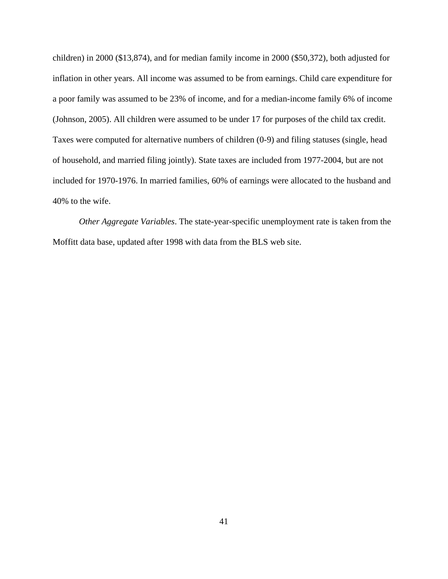children) in 2000 (\$13,874), and for median family income in 2000 (\$50,372), both adjusted for inflation in other years. All income was assumed to be from earnings. Child care expenditure for a poor family was assumed to be 23% of income, and for a median-income family 6% of income (Johnson, 2005). All children were assumed to be under 17 for purposes of the child tax credit. Taxes were computed for alternative numbers of children (0-9) and filing statuses (single, head of household, and married filing jointly). State taxes are included from 1977-2004, but are not included for 1970-1976. In married families, 60% of earnings were allocated to the husband and 40% to the wife.

*Other Aggregate Variables*. The state-year-specific unemployment rate is taken from the Moffitt data base, updated after 1998 with data from the BLS web site.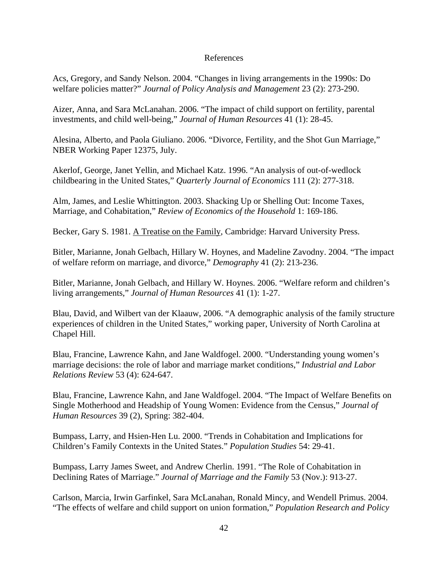### References

Acs, Gregory, and Sandy Nelson. 2004. "Changes in living arrangements in the 1990s: Do welfare policies matter?" *Journal of Policy Analysis and Management* 23 (2): 273-290.

Aizer, Anna, and Sara McLanahan. 2006. "The impact of child support on fertility, parental investments, and child well-being," *Journal of Human Resources* 41 (1): 28-45.

Alesina, Alberto, and Paola Giuliano. 2006. "Divorce, Fertility, and the Shot Gun Marriage," NBER Working Paper 12375, July.

Akerlof, George, Janet Yellin, and Michael Katz. 1996. "An analysis of out-of-wedlock childbearing in the United States," *Quarterly Journal of Economics* 111 (2): 277-318.

Alm, James, and Leslie Whittington. 2003. Shacking Up or Shelling Out: Income Taxes, Marriage, and Cohabitation," *Review of Economics of the Household* 1: 169-186.

Becker, Gary S. 1981. A Treatise on the Family, Cambridge: Harvard University Press.

Bitler, Marianne, Jonah Gelbach, Hillary W. Hoynes, and Madeline Zavodny. 2004. "The impact of welfare reform on marriage, and divorce," *Demography* 41 (2): 213-236.

Bitler, Marianne, Jonah Gelbach, and Hillary W. Hoynes. 2006. "Welfare reform and children's living arrangements," *Journal of Human Resources* 41 (1): 1-27.

Blau, David, and Wilbert van der Klaauw, 2006. "A demographic analysis of the family structure experiences of children in the United States," working paper, University of North Carolina at Chapel Hill.

Blau, Francine, Lawrence Kahn, and Jane Waldfogel. 2000. "Understanding young women's marriage decisions: the role of labor and marriage market conditions," *Industrial and Labor Relations Review* 53 (4): 624-647.

Blau, Francine, Lawrence Kahn, and Jane Waldfogel. 2004. "The Impact of Welfare Benefits on Single Motherhood and Headship of Young Women: Evidence from the Census," *Journal of Human Resources* 39 (2), Spring: 382-404.

Bumpass, Larry, and Hsien-Hen Lu. 2000. "Trends in Cohabitation and Implications for Children's Family Contexts in the United States." *Population Studies* 54: 29-41.

Bumpass, Larry James Sweet, and Andrew Cherlin. 1991. "The Role of Cohabitation in Declining Rates of Marriage." *Journal of Marriage and the Family* 53 (Nov.): 913-27.

Carlson, Marcia, Irwin Garfinkel, Sara McLanahan, Ronald Mincy, and Wendell Primus. 2004. "The effects of welfare and child support on union formation," *Population Research and Policy*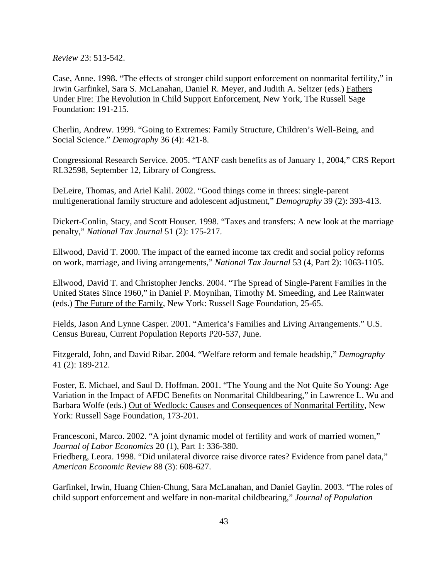*Review* 23: 513-542.

Case, Anne. 1998. "The effects of stronger child support enforcement on nonmarital fertility," in Irwin Garfinkel, Sara S. McLanahan, Daniel R. Meyer, and Judith A. Seltzer (eds.) Fathers Under Fire: The Revolution in Child Support Enforcement, New York, The Russell Sage Foundation: 191-215.

Cherlin, Andrew. 1999. "Going to Extremes: Family Structure, Children's Well-Being, and Social Science." *Demography* 36 (4): 421-8.

Congressional Research Service. 2005. "TANF cash benefits as of January 1, 2004," CRS Report RL32598, September 12, Library of Congress.

DeLeire, Thomas, and Ariel Kalil. 2002. "Good things come in threes: single-parent multigenerational family structure and adolescent adjustment," *Demography* 39 (2): 393-413.

Dickert-Conlin, Stacy, and Scott Houser. 1998. "Taxes and transfers: A new look at the marriage penalty," *National Tax Journal* 51 (2): 175-217.

Ellwood, David T. 2000. The impact of the earned income tax credit and social policy reforms on work, marriage, and living arrangements," *National Tax Journal* 53 (4, Part 2): 1063-1105.

Ellwood, David T. and Christopher Jencks. 2004. "The Spread of Single-Parent Families in the United States Since 1960," in Daniel P. Moynihan, Timothy M. Smeeding, and Lee Rainwater (eds.) The Future of the Family, New York: Russell Sage Foundation, 25-65.

Fields, Jason And Lynne Casper. 2001. "America's Families and Living Arrangements." U.S. Census Bureau, Current Population Reports P20-537, June.

Fitzgerald, John, and David Ribar. 2004. "Welfare reform and female headship," *Demography* 41 (2): 189-212.

Foster, E. Michael, and Saul D. Hoffman. 2001. "The Young and the Not Quite So Young: Age Variation in the Impact of AFDC Benefits on Nonmarital Childbearing," in Lawrence L. Wu and Barbara Wolfe (eds.) Out of Wedlock: Causes and Consequences of Nonmarital Fertility, New York: Russell Sage Foundation, 173-201.

Francesconi, Marco. 2002. "A joint dynamic model of fertility and work of married women," *Journal of Labor Economics* 20 (1), Part 1: 336-380. Friedberg, Leora. 1998. "Did unilateral divorce raise divorce rates? Evidence from panel data," *American Economic Review* 88 (3): 608-627.

Garfinkel, Irwin, Huang Chien-Chung, Sara McLanahan, and Daniel Gaylin. 2003. "The roles of child support enforcement and welfare in non-marital childbearing," *Journal of Population*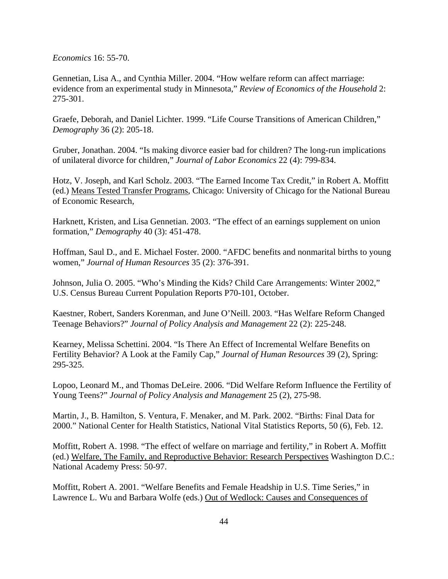*Economics* 16: 55-70.

Gennetian, Lisa A., and Cynthia Miller. 2004. "How welfare reform can affect marriage: evidence from an experimental study in Minnesota," *Review of Economics of the Household* 2: 275-301.

Graefe, Deborah, and Daniel Lichter. 1999. "Life Course Transitions of American Children," *Demography* 36 (2): 205-18.

Gruber, Jonathan. 2004. "Is making divorce easier bad for children? The long-run implications of unilateral divorce for children," *Journal of Labor Economics* 22 (4): 799-834.

Hotz, V. Joseph, and Karl Scholz. 2003. "The Earned Income Tax Credit," in Robert A. Moffitt (ed.) Means Tested Transfer Programs, Chicago: University of Chicago for the National Bureau of Economic Research,

Harknett, Kristen, and Lisa Gennetian. 2003. "The effect of an earnings supplement on union formation," *Demography* 40 (3): 451-478.

Hoffman, Saul D., and E. Michael Foster. 2000. "AFDC benefits and nonmarital births to young women," *Journal of Human Resources* 35 (2): 376-391.

Johnson, Julia O. 2005. "Who's Minding the Kids? Child Care Arrangements: Winter 2002," U.S. Census Bureau Current Population Reports P70-101, October.

Kaestner, Robert, Sanders Korenman, and June O'Neill. 2003. "Has Welfare Reform Changed Teenage Behaviors?" *Journal of Policy Analysis and Management* 22 (2): 225-248.

Kearney, Melissa Schettini. 2004. "Is There An Effect of Incremental Welfare Benefits on Fertility Behavior? A Look at the Family Cap," *Journal of Human Resources* 39 (2), Spring: 295-325.

Lopoo, Leonard M., and Thomas DeLeire. 2006. "Did Welfare Reform Influence the Fertility of Young Teens?" *Journal of Policy Analysis and Management* 25 (2), 275-98.

Martin, J., B. Hamilton, S. Ventura, F. Menaker, and M. Park. 2002. "Births: Final Data for 2000." National Center for Health Statistics, National Vital Statistics Reports, 50 (6), Feb. 12.

Moffitt, Robert A. 1998. "The effect of welfare on marriage and fertility," in Robert A. Moffitt (ed.) Welfare, The Family, and Reproductive Behavior: Research Perspectives Washington D.C.: National Academy Press: 50-97.

Moffitt, Robert A. 2001. "Welfare Benefits and Female Headship in U.S. Time Series," in Lawrence L. Wu and Barbara Wolfe (eds.) Out of Wedlock: Causes and Consequences of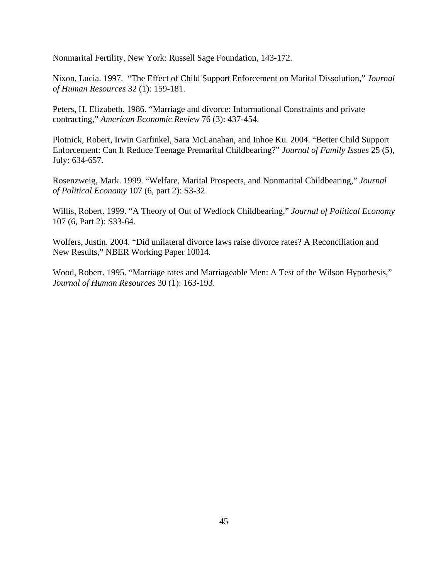Nonmarital Fertility, New York: Russell Sage Foundation, 143-172.

Nixon, Lucia. 1997. "The Effect of Child Support Enforcement on Marital Dissolution," *Journal of Human Resources* 32 (1): 159-181.

Peters, H. Elizabeth. 1986. "Marriage and divorce: Informational Constraints and private contracting," *American Economic Review* 76 (3): 437-454.

Plotnick, Robert, Irwin Garfinkel, Sara McLanahan, and Inhoe Ku. 2004. "Better Child Support Enforcement: Can It Reduce Teenage Premarital Childbearing?" *Journal of Family Issues* 25 (5), July: 634-657.

Rosenzweig, Mark. 1999. "Welfare, Marital Prospects, and Nonmarital Childbearing," *Journal of Political Economy* 107 (6, part 2): S3-32.

Willis, Robert. 1999. "A Theory of Out of Wedlock Childbearing," *Journal of Political Economy* 107 (6, Part 2): S33-64.

Wolfers, Justin. 2004. "Did unilateral divorce laws raise divorce rates? A Reconciliation and New Results," NBER Working Paper 10014.

Wood, Robert. 1995. "Marriage rates and Marriageable Men: A Test of the Wilson Hypothesis," *Journal of Human Resources* 30 (1): 163-193.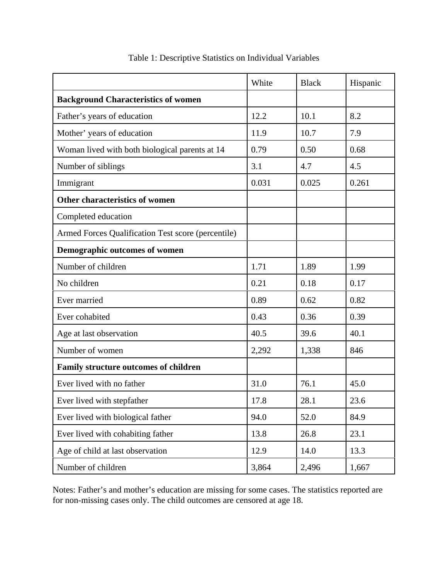|                                                    | White | <b>Black</b> | Hispanic |
|----------------------------------------------------|-------|--------------|----------|
| <b>Background Characteristics of women</b>         |       |              |          |
| Father's years of education                        | 12.2  | 10.1         | 8.2      |
| Mother' years of education                         | 11.9  | 10.7         | 7.9      |
| Woman lived with both biological parents at 14     | 0.79  | 0.50         | 0.68     |
| Number of siblings                                 | 3.1   | 4.7          | 4.5      |
| Immigrant                                          | 0.031 | 0.025        | 0.261    |
| Other characteristics of women                     |       |              |          |
| Completed education                                |       |              |          |
| Armed Forces Qualification Test score (percentile) |       |              |          |
| Demographic outcomes of women                      |       |              |          |
| Number of children                                 | 1.71  | 1.89         | 1.99     |
| No children                                        | 0.21  | 0.18         | 0.17     |
| Ever married                                       | 0.89  | 0.62         | 0.82     |
| Ever cohabited                                     | 0.43  | 0.36         | 0.39     |
| Age at last observation                            | 40.5  | 39.6         | 40.1     |
| Number of women                                    | 2,292 | 1,338        | 846      |
| Family structure outcomes of children              |       |              |          |
| Ever lived with no father                          | 31.0  | 76.1         | 45.0     |
| Ever lived with stepfather                         | 17.8  | 28.1         | 23.6     |
| Ever lived with biological father                  | 94.0  | 52.0         | 84.9     |
| Ever lived with cohabiting father                  | 13.8  | 26.8         | 23.1     |
| Age of child at last observation                   | 12.9  | 14.0         | 13.3     |
| Number of children                                 | 3,864 | 2,496        | 1,667    |

Table 1: Descriptive Statistics on Individual Variables

Notes: Father's and mother's education are missing for some cases. The statistics reported are for non-missing cases only. The child outcomes are censored at age 18.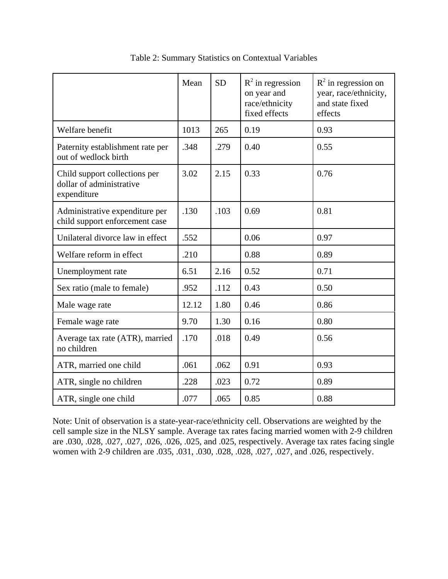|                                                                          | Mean  | <b>SD</b> | $R^2$ in regression<br>on year and<br>race/ethnicity<br>fixed effects | $R^2$ in regression on<br>year, race/ethnicity,<br>and state fixed<br>effects |
|--------------------------------------------------------------------------|-------|-----------|-----------------------------------------------------------------------|-------------------------------------------------------------------------------|
| Welfare benefit                                                          | 1013  | 265       | 0.19                                                                  | 0.93                                                                          |
| Paternity establishment rate per<br>out of wedlock birth                 | .348  | .279      | 0.40                                                                  | 0.55                                                                          |
| Child support collections per<br>dollar of administrative<br>expenditure | 3.02  | 2.15      | 0.33                                                                  | 0.76                                                                          |
| Administrative expenditure per<br>child support enforcement case         | .130  | .103      | 0.69                                                                  | 0.81                                                                          |
| Unilateral divorce law in effect                                         | .552  |           | 0.06                                                                  | 0.97                                                                          |
| Welfare reform in effect                                                 | .210  |           | 0.88                                                                  | 0.89                                                                          |
| Unemployment rate                                                        | 6.51  | 2.16      | 0.52                                                                  | 0.71                                                                          |
| Sex ratio (male to female)                                               | .952  | .112      | 0.43                                                                  | 0.50                                                                          |
| Male wage rate                                                           | 12.12 | 1.80      | 0.46                                                                  | 0.86                                                                          |
| Female wage rate                                                         | 9.70  | 1.30      | 0.16                                                                  | 0.80                                                                          |
| Average tax rate (ATR), married<br>no children                           | .170  | .018      | 0.49                                                                  | 0.56                                                                          |
| ATR, married one child                                                   | .061  | .062      | 0.91                                                                  | 0.93                                                                          |
| ATR, single no children                                                  | .228  | .023      | 0.72                                                                  | 0.89                                                                          |
| ATR, single one child                                                    | .077  | .065      | 0.85                                                                  | 0.88                                                                          |

Table 2: Summary Statistics on Contextual Variables

Note: Unit of observation is a state-year-race/ethnicity cell. Observations are weighted by the cell sample size in the NLSY sample. Average tax rates facing married women with 2-9 children are .030, .028, .027, .027, .026, .026, .025, and .025, respectively. Average tax rates facing single women with 2-9 children are .035, .031, .030, .028, .028, .027, .027, and .026, respectively.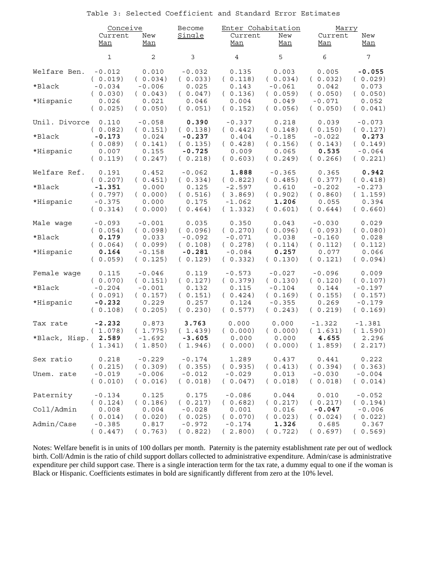Table 3: Selected Coefficient and Standard Error Estimates

|               | Conceive            |                     | <b>Become</b>               | Enter Cohabitation  |                             | Marry                        |                     |
|---------------|---------------------|---------------------|-----------------------------|---------------------|-----------------------------|------------------------------|---------------------|
|               | Current<br>Man      | New<br>Man          | Single                      | Current<br>Man      | New<br>Man                  | Current<br>Man               | New<br>Man          |
|               | 1                   | $\overline{c}$      | 3                           | $\overline{4}$      | 5                           | $\epsilon$                   | 7                   |
| Welfare Ben.  | $-0.012$            | 0.010               | $-0.032$                    | 0.135               | 0.003                       | 0.005                        | $-0.055$            |
|               | (0.019)             | (0.034)             | (0.033)                     | (0.118)             | (0.034)                     | (0.032)                      | (0.029)             |
| *Black        | $-0.034$            | $-0.006$            | 0.025                       | 0.143               | $-0.061$                    | 0.042                        | 0.073               |
|               | (0.030)             | (0.043)             | (0.047)                     | (0.136)             | (0.059)                     | (0.050)                      | (0.050)             |
| *Hispanic     | 0.026               | 0.021               | 0.046                       | 0.004               | 0.049                       | $-0.071$                     | 0.052               |
|               | (0.025)             | (0.050)             | (0.051)                     | (0.152)             | (0.056)                     | (0.050)                      | (0.041)             |
| Unil. Divorce | 0.110               | $-0.058$            | 0.390                       | $-0.337$            | 0.218                       | 0.039                        | $-0.073$            |
|               | (0.082)             | (0.151)             | (0.138)                     | (0.442)             | (0.148)                     | (0.150)                      | (0.127)             |
| $*$ Black     | $-0.173$            | 0.024               | $-0.237$                    | 0.404               | $-0.185$                    | $-0.022$                     | 0.273               |
|               | (0.089)             | (0.141)             | (0.135)                     | (0.428)             | (0.156)                     | (0.143)                      | (0.149)             |
| *Hispanic     | 0.007               | 0.155               | $-0.725$                    | 0.009               | 0.065                       | 0.535                        | $-0.064$            |
|               | (0.119)             | (0.247)             | (0.218)                     | (0.603)             | (0.249)                     | (0.266)                      | (0.221)             |
| Welfare Ref.  | 0.191               | 0.452               | $-0.062$                    | 1.888               | $-0.365$                    | 0.365                        | 0.942               |
|               | (0.207)             | (0.451)             | (0.334)                     | (0.822)             | (0.485)                     | (0.377)                      | (0.418)             |
| *Black        | $-1.351$            | 0.000               | 0.125                       | $-2.597$            | 0.610                       | $-0.202$                     | $-0.273$            |
|               | (0.797)             | (0.000)             | (0.516)                     | (3.869)             | (0.902)                     | (0.860)                      | (1.159)             |
| *Hispanic     | $-0.375$<br>(0.314) | 0.000<br>(0.000)    | 0.175<br>0.464)<br>$\left($ | $-1.062$<br>(1.332) | 1.206<br>(0.601)            | 0.055<br>(0.644)             | 0.394<br>(0.660)    |
| Male wage     | $-0.093$            | $-0.001$            | 0.035                       | 0.350               | 0.043                       | $-0.030$                     | 0.029               |
|               | (0.054)             | (0.098)             | (0.096)                     | (0.270)             | (0.096)                     | (0.093)                      | (0.080)             |
| *Black        | 0.179               | 0.033               | $-0.092$                    | $-0.071$            | 0.038                       | $-0.160$                     | 0.028               |
|               | (0.064)             | (0.099)             | (0.108)                     | (0.278)             | (0.114)                     | (0.112)                      | (0.112)             |
| *Hispanic     | 0.164               | $-0.158$            | $-0.281$                    | $-0.084$            | 0.257                       | 0.077                        | 0.066               |
|               | (0.059)             | (0.125)             | (0.129)                     | (0.332)             | (0.130)                     | (0.121)                      | (0.094)             |
| Female wage   | 0.115               | $-0.046$            | 0.119                       | $-0.573$            | $-0.027$                    | $-0.096$                     | 0.009               |
|               | (0.070)             | (0.151)             | (0.127)                     | (0.379)             | (0.130)                     | (0.120)                      | (0.107)             |
| *Black        | $-0.204$            | $-0.001$            | 0.132                       | 0.115               | $-0.104$                    | 0.144                        | $-0.197$            |
|               | (0.091)             | (0.157)             | (0.151)                     | (0.424)             | (0.169)                     | (0.155)                      | (0.157)             |
| *Hispanic     | $-0.232$            | 0.229               | 0.257                       | 0.124               | $-0.355$                    | 0.269                        | $-0.179$            |
|               | (0.108)             | (0.205)             | (0.230)                     | (0.577)             | (0.243)                     | (0.219)                      | (0.169)             |
| Tax rate      | $-2.232$            | 0.873               | 3.763                       | 0.000               | 0.000                       | $-1.322$                     | $-1.381$            |
|               | (1.078)             | (1.775)             | (1.439)                     | (0.000)             | (0.000)                     | (1.631)                      | (1.590)             |
| *Black, Hisp. | 2.589<br>1.341)     | $-1.692$<br>(1.850) | $-3.605$<br>(1.946)         | 0.000<br>(0.000)    | 0.000<br>0.000)<br>$\left($ | 4.655<br>(1.859)             | 2.296<br>(2.217)    |
| Sex ratio     | 0.218               | $-0.229$            | $-0.174$                    | 1.289               | 0.437                       | 0.441                        | 0.222               |
|               | (0.215)             | (0.309)             | (0.355)                     | (0.935)             | (0.413)                     | (0.394)                      | (0.363)             |
| Unem. rate    | $-0.019$<br>(0.010) | $-0.006$<br>(0.016) | $-0.012$<br>(0.018)         | $-0.029$<br>(0.047) | 0.013<br>(0.018)            | -0.030<br>0.018)<br>$\left($ | $-0.004$<br>(0.014) |
| Paternity     | $-0.134$            | 0.125               | 0.175                       | $-0.086$            | 0.044                       | 0.010                        | $-0.052$            |
|               | (0.124)             | (0.186)             | (0.217)                     | (0.682)             | (0.217)                     | (0.217)                      | (0.194)             |
| Coll/Admin    | 0.008               | 0.004               | $-0.028$                    | 0.001               | 0.016                       | $-0.047$                     | $-0.006$            |
|               | (0.014)             | (0.020)             | (0.025)                     | (0.070)             | (0.023)                     | (0.024)                      | (0.022)             |
| Admin/Case    | $-0.385$            | 0.817               | $-0.972$                    | $-0.174$            | 1.326                       | 0.685                        | 0.367               |
|               | (0.447)             | 0.763)              | 0.822)                      | (2.800)             | 0.722)                      | 0.697)                       | 0.569)              |

Notes: Welfare benefit is in units of 100 dollars per month. Paternity is the paternity establishment rate per out of wedlock birth. Coll/Admin is the ratio of child support dollars collected to administrative expenditure. Admin/case is administrative expenditure per child support case. There is a single interaction term for the tax rate, a dummy equal to one if the woman is Black or Hispanic. Coefficients estimates in bold are significantly different from zero at the 10% level.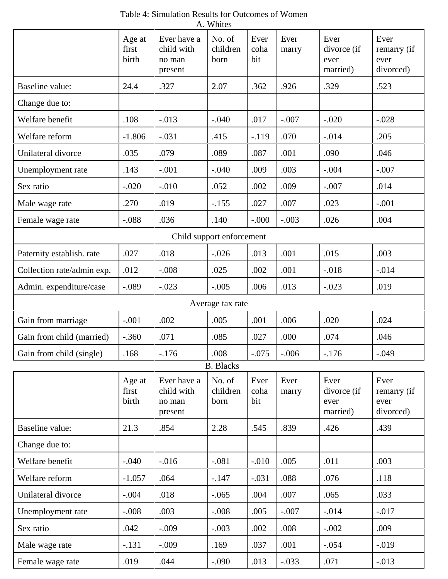| A. Whites                  |                          |                                                |                            |                     |               |                                         |                                          |
|----------------------------|--------------------------|------------------------------------------------|----------------------------|---------------------|---------------|-----------------------------------------|------------------------------------------|
|                            | Age at<br>first<br>birth | Ever have a<br>child with<br>no man<br>present | No. of<br>children<br>born | Ever<br>coha<br>bit | Ever<br>marry | Ever<br>divorce (if<br>ever<br>married) | Ever<br>remarry (if<br>ever<br>divorced) |
| Baseline value:            | 24.4                     | .327                                           | 2.07                       | .362                | .926          | .329                                    | .523                                     |
| Change due to:             |                          |                                                |                            |                     |               |                                         |                                          |
| Welfare benefit            | .108                     | $-.013$                                        | $-.040$                    | .017                | $-.007$       | $-.020$                                 | $-.028$                                  |
| Welfare reform             | $-1.806$                 | $-.031$                                        | .415                       | $-119$              | .070          | $-.014$                                 | .205                                     |
| Unilateral divorce         | .035                     | .079                                           | .089                       | .087                | .001          | .090                                    | .046                                     |
| Unemployment rate          | .143                     | $-.001$                                        | $-.040$                    | .009                | .003          | $-.004$                                 | $-.007$                                  |
| Sex ratio                  | $-.020$                  | $-.010$                                        | .052                       | .002                | .009          | $-.007$                                 | .014                                     |
| Male wage rate             | .270                     | .019                                           | $-.155$                    | .027                | .007          | .023                                    | $-.001$                                  |
| Female wage rate           | $-.088$                  | .036                                           | .140                       | $-.000$             | $-.003$       | .026                                    | .004                                     |
|                            |                          |                                                | Child support enforcement  |                     |               |                                         |                                          |
| Paternity establish. rate  | .027                     | .018                                           | $-.026$                    | .013                | .001          | .015                                    | .003                                     |
| Collection rate/admin exp. | .012                     | $-.008$                                        | .025                       | .002                | .001          | $-.018$                                 | $-.014$                                  |
| Admin. expenditure/case    | $-.089$                  | $-.023$                                        | $-.005$                    | .006                | .013          | $-.023$                                 | .019                                     |
|                            |                          |                                                | Average tax rate           |                     |               |                                         |                                          |
| Gain from marriage         | $-.001$                  | .002                                           | .005                       | .001                | .006          | .020                                    | .024                                     |
| Gain from child (married)  | $-.360$                  | .071                                           | .085                       | .027                | .000          | .074                                    | .046                                     |
| Gain from child (single)   | .168                     | $-176$                                         | .008                       | $-.075$             | $-.006$       | $-.176$                                 | $-.049$                                  |
|                            |                          |                                                | <b>B.</b> Blacks           |                     |               |                                         |                                          |
|                            | Age at<br>first<br>birth | Ever have a<br>child with<br>no man<br>present | No. of<br>children<br>born | Ever<br>coha<br>bit | Ever<br>marry | Ever<br>divorce (if<br>ever<br>married) | Ever<br>remarry (if<br>ever<br>divorced) |
| Baseline value:            | 21.3                     | .854                                           | 2.28                       | .545                | .839          | .426                                    | .439                                     |
| Change due to:             |                          |                                                |                            |                     |               |                                         |                                          |
| Welfare benefit            | $-.040$                  | $-0.016$                                       | $-.081$                    | $-.010$             | .005          | .011                                    | .003                                     |
| Welfare reform             | $-1.057$                 | .064                                           | $-.147$                    | $-.031$             | .088          | .076                                    | .118                                     |
| Unilateral divorce         | $-.004$                  | .018                                           | $-.065$                    | .004                | .007          | .065                                    | .033                                     |
| Unemployment rate          | $-.008$                  | .003                                           | $-.008$                    | .005                | $-.007$       | $-.014$                                 | $-.017$                                  |
| Sex ratio                  | .042                     | $-.009$                                        | $-.003$                    | .002                | .008          | $-.002$                                 | .009                                     |
| Male wage rate             | $-.131$                  | $-.009$                                        | .169                       | .037                | .001          | $-.054$                                 | $-0.019$                                 |
| Female wage rate           | .019                     | .044                                           | $-.090$                    | .013                | $-.033$       | .071                                    | $-.013$                                  |

Table 4: Simulation Results for Outcomes of Women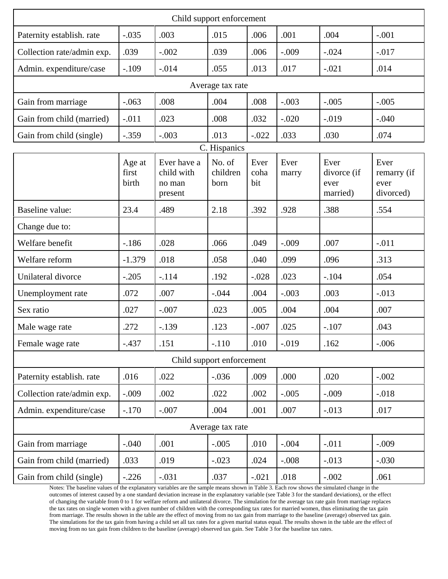| Child support enforcement  |                          |                                                |                            |                     |               |                                         |                                          |  |  |
|----------------------------|--------------------------|------------------------------------------------|----------------------------|---------------------|---------------|-----------------------------------------|------------------------------------------|--|--|
| Paternity establish. rate  | $-.035$                  | .003                                           | .015                       | .006                | .001          | .004                                    | $-.001$                                  |  |  |
| Collection rate/admin exp. | .039                     | $-.002$                                        | .039                       | .006                | $-.009$       | $-.024$                                 | $-.017$                                  |  |  |
| Admin. expenditure/case    | $-.109$                  | $-.014$                                        | .055                       | .013                | .017          | $-.021$                                 | .014                                     |  |  |
| Average tax rate           |                          |                                                |                            |                     |               |                                         |                                          |  |  |
| Gain from marriage         | $-.063$                  | .008                                           | .004                       | .008                | $-.003$       | $-.005$                                 | $-.005$                                  |  |  |
| Gain from child (married)  | $-.011$                  | .023                                           | .008                       | .032                | $-.020$       | $-0.019$                                | $-.040$                                  |  |  |
| Gain from child (single)   | $-.359$                  | $-.003$                                        | .013                       | $-.022$             | .033          | .030                                    | .074                                     |  |  |
|                            |                          |                                                | C. Hispanics               |                     |               |                                         |                                          |  |  |
|                            | Age at<br>first<br>birth | Ever have a<br>child with<br>no man<br>present | No. of<br>children<br>born | Ever<br>coha<br>bit | Ever<br>marry | Ever<br>divorce (if<br>ever<br>married) | Ever<br>remarry (if<br>ever<br>divorced) |  |  |
| Baseline value:            | 23.4                     | .489                                           | 2.18                       | .392                | .928          | .388                                    | .554                                     |  |  |
| Change due to:             |                          |                                                |                            |                     |               |                                         |                                          |  |  |
| Welfare benefit            | $-186$                   | .028                                           | .066                       | .049                | $-.009$       | .007                                    | $-.011$                                  |  |  |
| Welfare reform             | $-1.379$                 | .018                                           | .058                       | .040                | .099          | .096                                    | .313                                     |  |  |
| Unilateral divorce         | $-.205$                  | $-.114$                                        | .192                       | $-.028$             | .023          | $-.104$                                 | .054                                     |  |  |
| Unemployment rate          | .072                     | .007                                           | $-.044$                    | .004                | $-.003$       | .003                                    | $-.013$                                  |  |  |
| Sex ratio                  | .027                     | $-.007$                                        | .023                       | .005                | .004          | .004                                    | .007                                     |  |  |
| Male wage rate             | .272                     | $-139$                                         | .123                       | $-.007$             | .025          | $-.107$                                 | .043                                     |  |  |
| Female wage rate           | $-.437$                  | .151                                           | $-.110$                    | .010                | $-0.019$      | .162                                    | $-.006$                                  |  |  |
|                            |                          |                                                | Child support enforcement  |                     |               |                                         |                                          |  |  |
| Paternity establish. rate  | .016                     | .022                                           | $-.036$                    | .009                | .000          | .020                                    | $-.002$                                  |  |  |
| Collection rate/admin exp. | $-.009$                  | .002                                           | .022                       | .002                | $-.005$       | $-.009$                                 | $-.018$                                  |  |  |
| Admin. expenditure/case    | $-.170$                  | $-.007$                                        | .004                       | .001                | .007          | $-.013$                                 | .017                                     |  |  |
|                            |                          |                                                | Average tax rate           |                     |               |                                         |                                          |  |  |
| Gain from marriage         | $-.040$                  | .001                                           | $-.005$                    | .010                | $-.004$       | $-.011$                                 | $-.009$                                  |  |  |
| Gain from child (married)  | .033                     | .019                                           | $-.023$                    | .024                | $-.008$       | $-.013$                                 | $-.030$                                  |  |  |
| Gain from child (single)   | $-.226$                  | $-.031$                                        | .037                       | $-.021$             | .018          | $-.002$                                 | .061                                     |  |  |

Notes: The baseline values of the explanatory variables are the sample means shown in Table 3. Each row shows the simulated change in the outcomes of interest caused by a one standard deviation increase in the explanatory variable (see Table 3 for the standard deviations), or the effect of changing the variable from 0 to 1 for welfare reform and unilateral divorce. The simulation for the average tax rate gain from marriage replaces the tax rates on single women with a given number of children with the corresponding tax rates for married women, thus eliminating the tax gain from marriage. The results shown in the table are the effect of moving from no tax gain from marriage to the baseline (average) observed tax gain. The simulations for the tax gain from having a child set all tax rates for a given marital status equal. The results shown in the table are the effect of moving from no tax gain from children to the baseline (average) observed tax gain. See Table 3 for the baseline tax rates.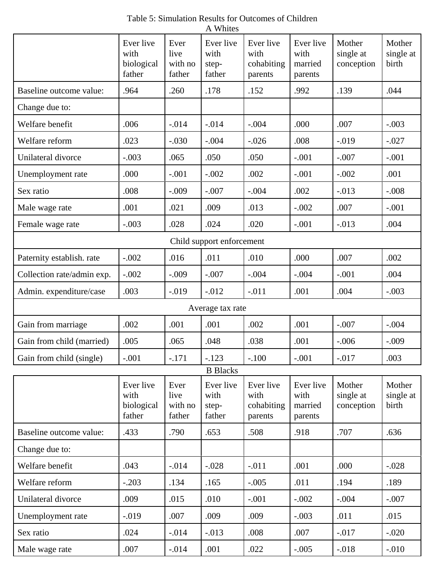|                            | Ever live<br>with<br>biological<br>father | Ever<br>live<br>with no<br>father | Ever live<br>with<br>step-<br>father | Ever live<br>with<br>cohabiting<br>parents | Ever live<br>with<br>married<br>parents | Mother<br>single at<br>conception | Mother<br>single at<br>birth |
|----------------------------|-------------------------------------------|-----------------------------------|--------------------------------------|--------------------------------------------|-----------------------------------------|-----------------------------------|------------------------------|
| Baseline outcome value:    | .964                                      | .260                              | .178                                 | .152                                       | .992                                    | .139                              | .044                         |
| Change due to:             |                                           |                                   |                                      |                                            |                                         |                                   |                              |
| Welfare benefit            | .006                                      | $-.014$                           | $-.014$                              | $-.004$                                    | .000                                    | .007                              | $-.003$                      |
| Welfare reform             | .023                                      | $-.030$                           | $-.004$                              | $-.026$                                    | .008                                    | $-0.019$                          | $-.027$                      |
| Unilateral divorce         | $-.003$                                   | .065                              | .050                                 | .050                                       | $-.001$                                 | $-.007$                           | $-.001$                      |
| Unemployment rate          | .000                                      | $-.001$                           | $-.002$                              | .002                                       | $-.001$                                 | $-.002$                           | .001                         |
| Sex ratio                  | .008                                      | $-.009$                           | $-.007$                              | $-.004$                                    | .002                                    | $-.013$                           | $-.008$                      |
| Male wage rate             | .001                                      | .021                              | .009                                 | .013                                       | $-.002$                                 | .007                              | $-.001$                      |
| Female wage rate           | $-.003$                                   | .028                              | .024                                 | .020                                       | $-.001$                                 | $-.013$                           | .004                         |
|                            |                                           |                                   | Child support enforcement            |                                            |                                         |                                   |                              |
| Paternity establish. rate  | $-.002$                                   | .016                              | .011                                 | .010                                       | .000                                    | .007                              | .002                         |
| Collection rate/admin exp. | $-.002$                                   | $-.009$                           | $-.007$                              | $-.004$                                    | $-.004$                                 | $-.001$                           | .004                         |
| Admin. expenditure/case    | .003                                      | $-0.019$                          | $-.012$                              | $-.011$                                    | .001                                    | .004                              | $-.003$                      |
|                            |                                           |                                   | Average tax rate                     |                                            |                                         |                                   |                              |
| Gain from marriage         | .002                                      | .001                              | .001                                 | .002                                       | .001                                    | $-.007$                           | $-.004$                      |
| Gain from child (married)  | .005                                      | .065                              | .048                                 | .038                                       | .001                                    | $-.006$                           | $-.009$                      |
| Gain from child (single)   | .001                                      | .171                              | .123                                 | .100                                       | .001                                    | .017                              | .003                         |
|                            |                                           |                                   | <b>B</b> Blacks                      |                                            |                                         |                                   |                              |
|                            | Ever live<br>with<br>biological<br>father | Ever<br>live<br>with no<br>father | Ever live<br>with<br>step-<br>father | Ever live<br>with<br>cohabiting<br>parents | Ever live<br>with<br>married<br>parents | Mother<br>single at<br>conception | Mother<br>single at<br>birth |
| Baseline outcome value:    | .433                                      | .790                              | .653                                 | .508                                       | .918                                    | .707                              | .636                         |
| Change due to:             |                                           |                                   |                                      |                                            |                                         |                                   |                              |
| Welfare benefit            | .043                                      | $-.014$                           | $-.028$                              | $-.011$                                    | .001                                    | .000                              | $-.028$                      |
| Welfare reform             | $-.203$                                   | .134                              | .165                                 | $-.005$                                    | .011                                    | .194                              | .189                         |
| Unilateral divorce         | .009                                      | .015                              | .010                                 | $-.001$                                    | $-.002$                                 | $-.004$                           | $-.007$                      |
| Unemployment rate          | $-0.019$                                  | .007                              | .009                                 | .009                                       | $-.003$                                 | .011                              | .015                         |
| Sex ratio                  | .024                                      | $-0.014$                          | $-.013$                              | .008                                       | .007                                    | $-0.017$                          | $-.020$                      |
| Male wage rate             | .007                                      | $-0.014$                          | .001                                 | .022                                       | $-.005$                                 | $-.018$                           | $-.010$                      |

Table 5: Simulation Results for Outcomes of Children A Whites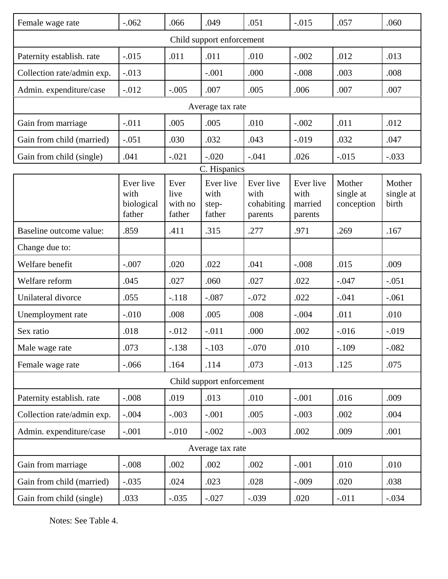| Female wage rate           | $-.062$                                   | .066                              | .049                                 | .051                                       | $-.015$                                 | .057                              | .060                         |  |  |
|----------------------------|-------------------------------------------|-----------------------------------|--------------------------------------|--------------------------------------------|-----------------------------------------|-----------------------------------|------------------------------|--|--|
| Child support enforcement  |                                           |                                   |                                      |                                            |                                         |                                   |                              |  |  |
| Paternity establish. rate  | $-.015$                                   | .011                              | .011                                 | .010                                       | $-.002$                                 | .012                              | .013                         |  |  |
| Collection rate/admin exp. | $-.013$                                   |                                   | $-.001$                              | .000                                       | $-.008$                                 | .003                              | .008                         |  |  |
| Admin. expenditure/case    | $-.012$                                   | $-.005$                           | .007                                 | .005                                       | .006                                    | .007                              | .007                         |  |  |
| Average tax rate           |                                           |                                   |                                      |                                            |                                         |                                   |                              |  |  |
| Gain from marriage         | $-.011$                                   | .005                              | .005                                 | .010                                       | $-.002$                                 | .011                              | .012                         |  |  |
| Gain from child (married)  | $-.051$                                   | .030                              | .032                                 | .043                                       | $-.019$                                 | .032                              | .047                         |  |  |
| Gain from child (single)   | .041                                      | $-.021$                           | $-.020$                              | $-.041$                                    | .026                                    | $-.015$                           | $-.033$                      |  |  |
|                            |                                           |                                   | C. Hispanics                         |                                            |                                         |                                   |                              |  |  |
|                            | Ever live<br>with<br>biological<br>father | Ever<br>live<br>with no<br>father | Ever live<br>with<br>step-<br>father | Ever live<br>with<br>cohabiting<br>parents | Ever live<br>with<br>married<br>parents | Mother<br>single at<br>conception | Mother<br>single at<br>birth |  |  |
| Baseline outcome value:    | .859                                      | .411                              | .315                                 | .277                                       | .971                                    | .269                              | .167                         |  |  |
| Change due to:             |                                           |                                   |                                      |                                            |                                         |                                   |                              |  |  |
| Welfare benefit            | $-.007$                                   | .020                              | .022                                 | .041                                       | $-.008$                                 | .015                              | .009                         |  |  |
| Welfare reform             | .045                                      | .027                              | .060                                 | .027                                       | .022                                    | $-.047$                           | $-.051$                      |  |  |
| Unilateral divorce         | .055                                      | $-.118$                           | $-.087$                              | $-.072$                                    | .022                                    | $-.041$                           | $-.061$                      |  |  |
| Unemployment rate          | $-.010$                                   | .008                              | .005                                 | .008                                       | $-.004$                                 | .011                              | .010                         |  |  |
| Sex ratio                  | .018                                      | $-.012$                           | $-.011$                              | .000                                       | .002                                    | $-.016$                           | $-.019$                      |  |  |
| Male wage rate             | .073                                      | $-.138$                           | $-.103$                              | $-.070$                                    | .010                                    | $-.109$                           | $-.082$                      |  |  |
| Female wage rate           | $-0.066$                                  | .164                              | .114                                 | .073                                       | $-0.013$                                | .125                              | .075                         |  |  |
|                            |                                           |                                   | Child support enforcement            |                                            |                                         |                                   |                              |  |  |
| Paternity establish. rate  | $-.008$                                   | .019                              | .013                                 | .010                                       | $-.001$                                 | .016                              | .009                         |  |  |
| Collection rate/admin exp. | $-.004$                                   | $-.003$                           | $-.001$                              | .005                                       | $-.003$                                 | .002                              | .004                         |  |  |
| Admin. expenditure/case    | $-.001$                                   | $-.010$                           | $-.002$                              | $-.003$                                    | .002                                    | .009                              | .001                         |  |  |
|                            |                                           |                                   | Average tax rate                     |                                            |                                         |                                   |                              |  |  |
| Gain from marriage         | $-.008$                                   | .002                              | .002                                 | .002                                       | $-.001$                                 | .010                              | .010                         |  |  |
| Gain from child (married)  | $-.035$                                   | .024                              | .023                                 | .028                                       | $-.009$                                 | .020                              | .038                         |  |  |
| Gain from child (single)   | .033                                      | $-.035$                           | $-.027$                              | $-.039$                                    | .020                                    | $-.011$                           | $-.034$                      |  |  |

Notes: See Table 4.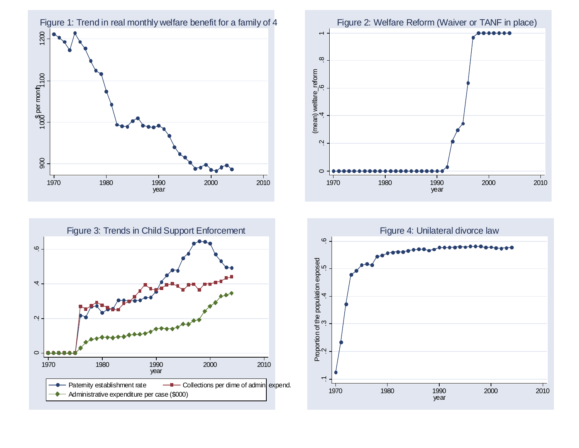





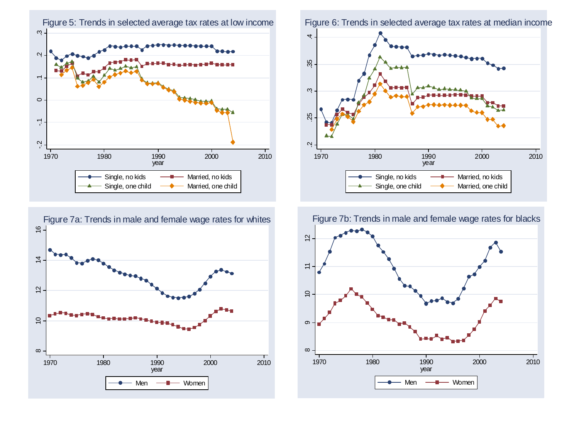



Figure 6: Trends in selected average tax rates at median income



Figure 7b: Trends in male and female wage rates for blacks

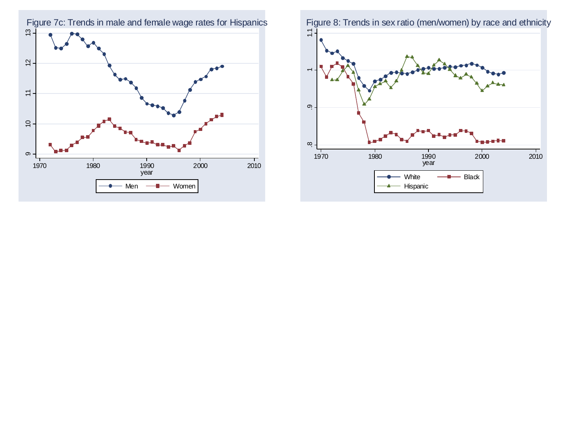

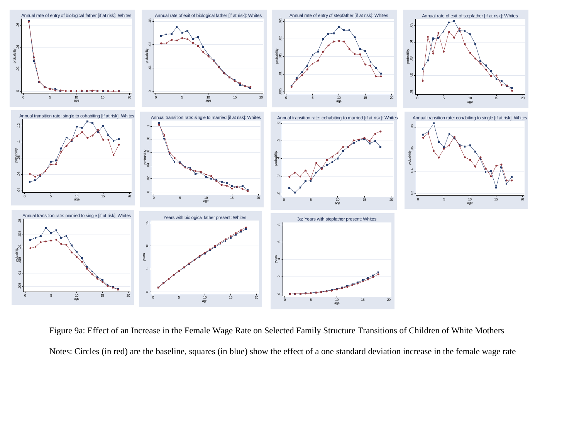

Figure 9a: Effect of an Increase in the Female Wage Rate on Selected Family Structure Transitions of Children of White Mothers Notes: Circles (in red) are the baseline, squares (in blue) show the effect of a one standard deviation increase in the female wage rate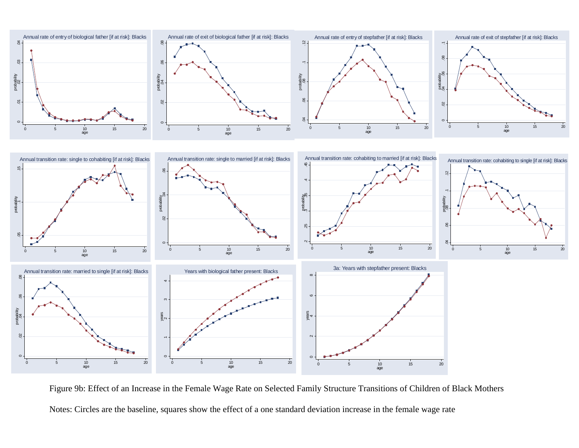

Figure 9b: Effect of an Increase in the Female Wage Rate on Selected Family Structure Transitions of Children of Black Mothers Notes: Circles are the baseline, squares show the effect of a one standard deviation increase in the female wage rate